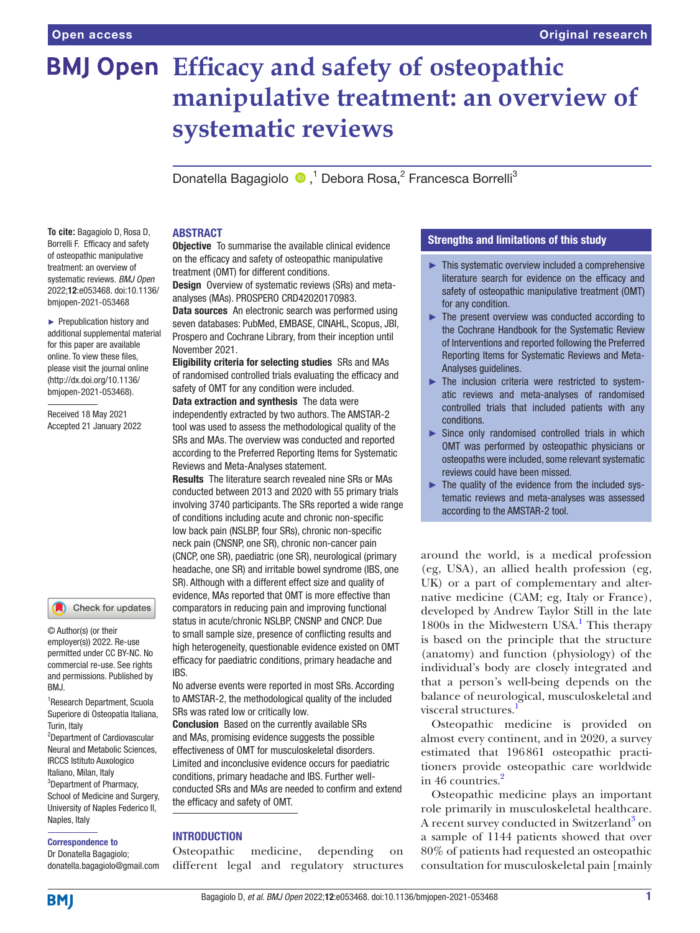# **BMJ Open** Efficacy and safety of osteopathic **manipulative treatment: an overview of systematic reviews**

Donatella Bagagiolo <sup>®</sup>,<sup>1</sup> Debora Rosa,<sup>2</sup> Francesca Borrelli<sup>3</sup>

**To cite:** Bagagiolo D, Rosa D, Borrelli F. Efficacy and safety of osteopathic manipulative treatment: an overview of systematic reviews. *BMJ Open* 2022;12:e053468. doi:10.1136/ bmjopen-2021-053468

► Prepublication history and additional supplemental material for this paper are available online. To view these files, please visit the journal online [\(http://dx.doi.org/10.1136/](http://dx.doi.org/10.1136/bmjopen-2021-053468) [bmjopen-2021-053468](http://dx.doi.org/10.1136/bmjopen-2021-053468)).

Received 18 May 2021 Accepted 21 January 2022

#### Check for updates

© Author(s) (or their employer(s)) 2022. Re-use permitted under CC BY-NC. No commercial re-use. See rights and permissions. Published by BMJ.

1 Research Department, Scuola Superiore di Osteopatia Italiana, Turin, Italy

2 Department of Cardiovascular Neural and Metabolic Sciences, IRCCS Istituto Auxologico Italiano, Milan, Italy <sup>3</sup>Department of Pharmacy, School of Medicine and Surgery, University of Naples Federico II, Naples, Italy

#### Correspondence to

Dr Donatella Bagagiolo; donatella.bagagiolo@gmail.com

# ABSTRACT

**Objective** To summarise the available clinical evidence on the efficacy and safety of osteopathic manipulative treatment (OMT) for different conditions.

Design Overview of systematic reviews (SRs) and metaanalyses (MAs). PROSPERO CRD42020170983.

Data sources An electronic search was performed using seven databases: PubMed, EMBASE, CINAHL, Scopus, JBI, Prospero and Cochrane Library, from their inception until November 2021.

Eligibility criteria for selecting studies SRs and MAs of randomised controlled trials evaluating the efficacy and safety of OMT for any condition were included.

Data extraction and synthesis The data were independently extracted by two authors. The AMSTAR-2 tool was used to assess the methodological quality of the SRs and MAs. The overview was conducted and reported according to the Preferred Reporting Items for Systematic Reviews and Meta-Analyses statement.

Results The literature search revealed nine SRs or MAs conducted between 2013 and 2020 with 55 primary trials involving 3740 participants. The SRs reported a wide range of conditions including acute and chronic non-specific low back pain (NSLBP, four SRs), chronic non-specific neck pain (CNSNP, one SR), chronic non-cancer pain (CNCP, one SR), paediatric (one SR), neurological (primary headache, one SR) and irritable bowel syndrome (IBS, one SR). Although with a different effect size and quality of evidence, MAs reported that OMT is more effective than comparators in reducing pain and improving functional status in acute/chronic NSLBP, CNSNP and CNCP. Due to small sample size, presence of conflicting results and high heterogeneity, questionable evidence existed on OMT efficacy for paediatric conditions, primary headache and IBS.

No adverse events were reported in most SRs. According to AMSTAR-2, the methodological quality of the included SRs was rated low or critically low.

Conclusion Based on the currently available SRs and MAs, promising evidence suggests the possible effectiveness of OMT for musculoskeletal disorders. Limited and inconclusive evidence occurs for paediatric conditions, primary headache and IBS. Further wellconducted SRs and MAs are needed to confirm and extend the efficacy and safety of OMT.

# INTRODUCTION

Osteopathic medicine, depending on different legal and regulatory structures

# Strengths and limitations of this study

- $\blacktriangleright$  This systematic overview included a comprehensive literature search for evidence on the efficacy and safety of osteopathic manipulative treatment (OMT) for any condition.
- ► The present overview was conducted according to the Cochrane Handbook for the Systematic Review of Interventions and reported following the Preferred Reporting Items for Systematic Reviews and Meta-Analyses guidelines.
- ► The inclusion criteria were restricted to systematic reviews and meta-analyses of randomised controlled trials that included patients with any conditions.
- $\triangleright$  Since only randomised controlled trials in which OMT was performed by osteopathic physicians or osteopaths were included, some relevant systematic reviews could have been missed.
- ► The quality of the evidence from the included systematic reviews and meta-analyses was assessed according to the AMSTAR-2 tool.

around the world, is a medical profession (eg, USA), an allied health profession (eg, UK) or a part of complementary and alternative medicine (CAM; eg, Italy or France), developed by Andrew Taylor Still in the late [1](#page-13-0)800s in the Midwestern USA.<sup>1</sup> This therapy is based on the principle that the structure (anatomy) and function (physiology) of the individual's body are closely integrated and that a person's well-being depends on the balance of neurological, musculoskeletal and visceral structures.

Osteopathic medicine is provided on almost every continent, and in 2020, a survey estimated that 196861 osteopathic practitioners provide osteopathic care worldwide in 46 countries.<sup>[2](#page-13-1)</sup>

Osteopathic medicine plays an important role primarily in musculoskeletal healthcare. A recent survey conducted in Switzerland<sup>[3](#page-13-2)</sup> on a sample of 1144 patients showed that over 80% of patients had requested an osteopathic consultation for musculoskeletal pain [mainly

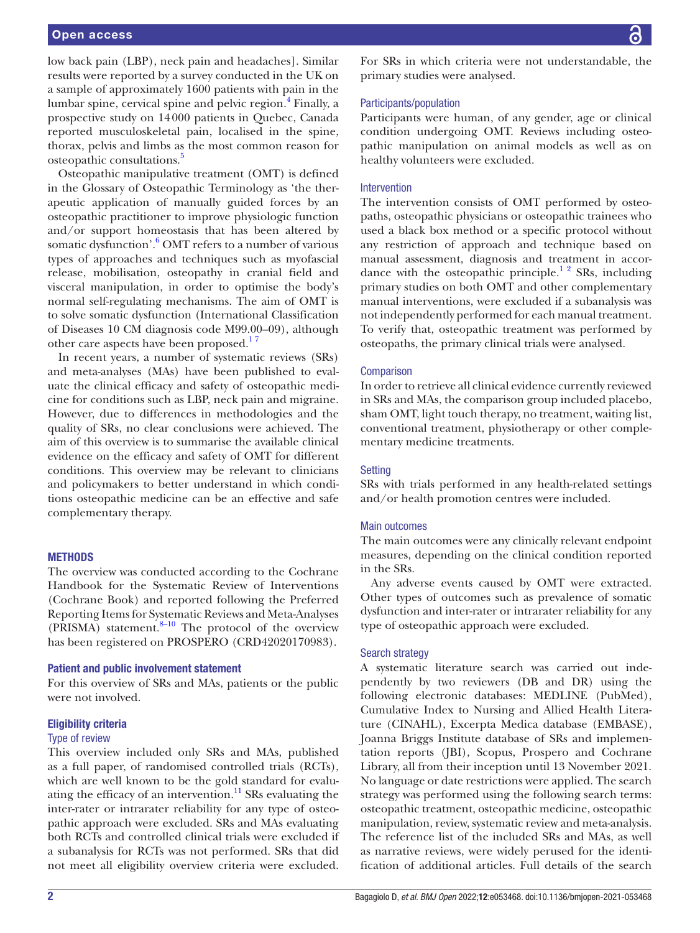low back pain (LBP), neck pain and headaches]. Similar results were reported by a survey conducted in the UK on a sample of approximately 1600 patients with pain in the lumbar spine, cervical spine and pelvic region.<sup>[4](#page-13-3)</sup> Finally, a prospective study on 14000 patients in Quebec, Canada reported musculoskeletal pain, localised in the spine, thorax, pelvis and limbs as the most common reason for osteopathic consultations.<sup>5</sup>

Osteopathic manipulative treatment (OMT) is defined in the Glossary of Osteopathic Terminology as 'the therapeutic application of manually guided forces by an osteopathic practitioner to improve physiologic function and/or support homeostasis that has been altered by somatic dysfunction'.<sup>6</sup> OMT refers to a number of various types of approaches and techniques such as myofascial release, mobilisation, osteopathy in cranial field and visceral manipulation, in order to optimise the body's normal self-regulating mechanisms. The aim of OMT is to solve somatic dysfunction (International Classification of Diseases 10 CM diagnosis code M99.00–09), although other care aspects have been proposed.<sup>17</sup>

In recent years, a number of systematic reviews (SRs) and meta-analyses (MAs) have been published to evaluate the clinical efficacy and safety of osteopathic medicine for conditions such as LBP, neck pain and migraine. However, due to differences in methodologies and the quality of SRs, no clear conclusions were achieved. The aim of this overview is to summarise the available clinical evidence on the efficacy and safety of OMT for different conditions. This overview may be relevant to clinicians and policymakers to better understand in which conditions osteopathic medicine can be an effective and safe complementary therapy.

# **METHODS**

The overview was conducted according to the Cochrane Handbook for the Systematic Review of Interventions (Cochrane Book) and reported following the Preferred Reporting Items for Systematic Reviews and Meta-Analyses  $(\overrightarrow{PRISMA})$  statement.<sup>[8–10](#page-13-6)</sup> The protocol of the overview has been registered on PROSPERO (CRD42020170983).

# Patient and public involvement statement

For this overview of SRs and MAs, patients or the public were not involved.

#### Eligibility criteria

#### Type of review

This overview included only SRs and MAs, published as a full paper, of randomised controlled trials (RCTs), which are well known to be the gold standard for evaluating the efficacy of an intervention. $^{11}$  SRs evaluating the inter-rater or intrarater reliability for any type of osteopathic approach were excluded. SRs and MAs evaluating both RCTs and controlled clinical trials were excluded if a subanalysis for RCTs was not performed. SRs that did not meet all eligibility overview criteria were excluded.

For SRs in which criteria were not understandable, the primary studies were analysed.

# Participants/population

Participants were human, of any gender, age or clinical condition undergoing OMT. Reviews including osteopathic manipulation on animal models as well as on healthy volunteers were excluded.

# Intervention

The intervention consists of OMT performed by osteopaths, osteopathic physicians or osteopathic trainees who used a black box method or a specific protocol without any restriction of approach and technique based on manual assessment, diagnosis and treatment in accordance with the osteopathic principle.<sup>12</sup> SRs, including primary studies on both OMT and other complementary manual interventions, were excluded if a subanalysis was not independently performed for each manual treatment. To verify that, osteopathic treatment was performed by osteopaths, the primary clinical trials were analysed.

#### **Comparison**

In order to retrieve all clinical evidence currently reviewed in SRs and MAs, the comparison group included placebo, sham OMT, light touch therapy, no treatment, waiting list, conventional treatment, physiotherapy or other complementary medicine treatments.

#### **Setting**

SRs with trials performed in any health-related settings and/or health promotion centres were included.

#### Main outcomes

The main outcomes were any clinically relevant endpoint measures, depending on the clinical condition reported in the SRs.

Any adverse events caused by OMT were extracted. Other types of outcomes such as prevalence of somatic dysfunction and inter-rater or intrarater reliability for any type of osteopathic approach were excluded.

# Search strategy

A systematic literature search was carried out independently by two reviewers (DB and DR) using the following electronic databases: MEDLINE (PubMed), Cumulative Index to Nursing and Allied Health Literature (CINAHL), Excerpta Medica database (EMBASE), Joanna Briggs Institute database of SRs and implementation reports (JBI), Scopus, Prospero and Cochrane Library, all from their inception until 13 November 2021. No language or date restrictions were applied. The search strategy was performed using the following search terms: osteopathic treatment, osteopathic medicine, osteopathic manipulation, review, systematic review and meta-analysis. The reference list of the included SRs and MAs, as well as narrative reviews, were widely perused for the identification of additional articles. Full details of the search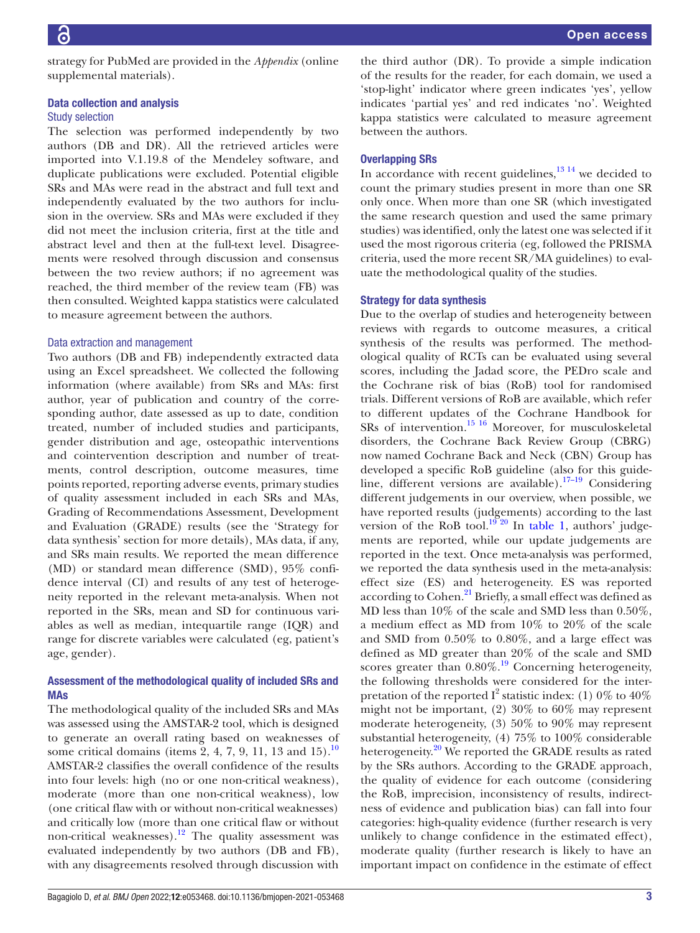strategy for PubMed are provided in the *Appendix* [\(online](https://dx.doi.org/10.1136/bmjopen-2021-053468) [supplemental materials\)](https://dx.doi.org/10.1136/bmjopen-2021-053468).

# Data collection and analysis

# Study selection

The selection was performed independently by two authors (DB and DR). All the retrieved articles were imported into V.1.19.8 of the Mendeley software, and duplicate publications were excluded. Potential eligible SRs and MAs were read in the abstract and full text and independently evaluated by the two authors for inclusion in the overview. SRs and MAs were excluded if they did not meet the inclusion criteria, first at the title and abstract level and then at the full-text level. Disagreements were resolved through discussion and consensus between the two review authors; if no agreement was reached, the third member of the review team (FB) was then consulted. Weighted kappa statistics were calculated to measure agreement between the authors.

# Data extraction and management

Two authors (DB and FB) independently extracted data using an Excel spreadsheet. We collected the following information (where available) from SRs and MAs: first author, year of publication and country of the corresponding author, date assessed as up to date, condition treated, number of included studies and participants, gender distribution and age, osteopathic interventions and cointervention description and number of treatments, control description, outcome measures, time points reported, reporting adverse events, primary studies of quality assessment included in each SRs and MAs, Grading of Recommendations Assessment, Development and Evaluation (GRADE) results (see the 'Strategy for data synthesis' section for more details), MAs data, if any, and SRs main results. We reported the mean difference (MD) or standard mean difference (SMD), 95% confidence interval (CI) and results of any test of heterogeneity reported in the relevant meta-analysis. When not reported in the SRs, mean and SD for continuous variables as well as median, intequartile range (IQR) and range for discrete variables were calculated (eg, patient's age, gender).

# Assessment of the methodological quality of included SRs and MAs

The methodological quality of the included SRs and MAs was assessed using the AMSTAR-2 tool, which is designed to generate an overall rating based on weaknesses of some critical domains (items 2, 4, 7, 9, 11, 13 and 15).<sup>10</sup> AMSTAR-2 classifies the overall confidence of the results into four levels: high (no or one non-critical weakness), moderate (more than one non-critical weakness), low (one critical flaw with or without non-critical weaknesses) and critically low (more than one critical flaw or without non-critical weaknesses).<sup>12</sup> The quality assessment was evaluated independently by two authors (DB and FB), with any disagreements resolved through discussion with

the third author (DR). To provide a simple indication of the results for the reader, for each domain, we used a 'stop-light' indicator where green indicates 'yes', yellow indicates 'partial yes' and red indicates 'no'. Weighted kappa statistics were calculated to measure agreement between the authors.

# Overlapping SRs

In accordance with recent guidelines, $\frac{13 \times 14}{14}$  we decided to count the primary studies present in more than one SR only once. When more than one SR (which investigated the same research question and used the same primary studies) was identified, only the latest one was selected if it used the most rigorous criteria (eg, followed the PRISMA criteria, used the more recent SR/MA guidelines) to evaluate the methodological quality of the studies.

#### Strategy for data synthesis

Due to the overlap of studies and heterogeneity between reviews with regards to outcome measures, a critical synthesis of the results was performed. The methodological quality of RCTs can be evaluated using several scores, including the Jadad score, the PEDro scale and the Cochrane risk of bias (RoB) tool for randomised trials. Different versions of RoB are available, which refer to different updates of the Cochrane Handbook for SRs of intervention.<sup>15 16</sup> Moreover, for musculoskeletal disorders, the Cochrane Back Review Group (CBRG) now named Cochrane Back and Neck (CBN) Group has developed a specific RoB guideline (also for this guideline, different versions are available).<sup>17-19</sup> Considering different judgements in our overview, when possible, we have reported results (judgements) according to the last version of the RoB tool.<sup>19 20</sup> In [table](#page-3-0) 1, authors' judgements are reported, while our update judgements are reported in the text. Once meta-analysis was performed, we reported the data synthesis used in the meta-analysis: effect size (ES) and heterogeneity. ES was reported according to Cohen.<sup>21</sup> Briefly, a small effect was defined as MD less than 10% of the scale and SMD less than 0.50%, a medium effect as MD from 10% to 20% of the scale and SMD from 0.50% to 0.80%, and a large effect was defined as MD greater than 20% of the scale and SMD scores greater than  $0.80\%$ .<sup>19</sup> Concerning heterogeneity, the following thresholds were considered for the interpretation of the reported  $I^2$  statistic index: (1) 0% to 40% might not be important, (2) 30% to 60% may represent moderate heterogeneity, (3) 50% to 90% may represent substantial heterogeneity, (4) 75% to 100% considerable heterogeneity.<sup>20</sup> We reported the GRADE results as rated by the SRs authors. According to the GRADE approach, the quality of evidence for each outcome (considering the RoB, imprecision, inconsistency of results, indirectness of evidence and publication bias) can fall into four categories: high-quality evidence (further research is very unlikely to change confidence in the estimated effect), moderate quality (further research is likely to have an important impact on confidence in the estimate of effect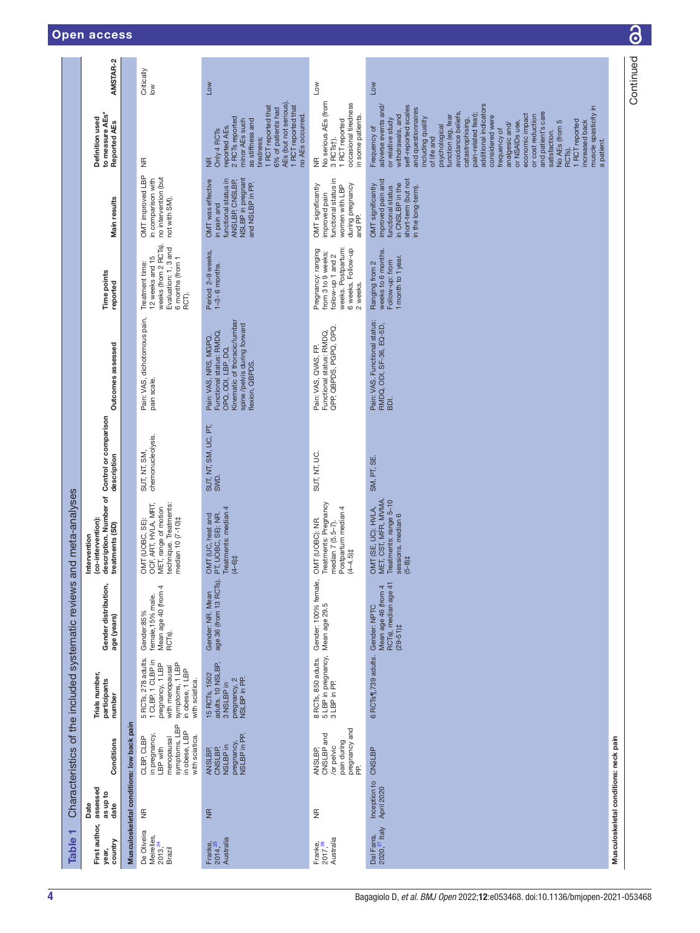<span id="page-3-0"></span>

| ٣<br><b>Table</b>                               |                                       |                                                                                                           |                                                                                                                                         | Characteristics of the included systematic reviews                        | and meta-analyses                                                                                              |                                      |                                                                                                                                                          |                                                                                                                       |                                                                                                                              |                                                                                                                                                                                                                                                                                                                                                                                                                                                                                                                                                             |                   |
|-------------------------------------------------|---------------------------------------|-----------------------------------------------------------------------------------------------------------|-----------------------------------------------------------------------------------------------------------------------------------------|---------------------------------------------------------------------------|----------------------------------------------------------------------------------------------------------------|--------------------------------------|----------------------------------------------------------------------------------------------------------------------------------------------------------|-----------------------------------------------------------------------------------------------------------------------|------------------------------------------------------------------------------------------------------------------------------|-------------------------------------------------------------------------------------------------------------------------------------------------------------------------------------------------------------------------------------------------------------------------------------------------------------------------------------------------------------------------------------------------------------------------------------------------------------------------------------------------------------------------------------------------------------|-------------------|
| First author,<br>country<br>year,               | assessed<br>ot dn se<br>Date<br>date  | Conditions                                                                                                | Trials number,<br>participants<br>number                                                                                                | Gender distribution,<br>age (years)                                       | description. Number of<br>(co-intervention):<br>treatments (SD)<br>Intervention                                | Control or comparison<br>description | Outcomes assessed                                                                                                                                        | <b>Time points</b><br>reported                                                                                        | Main results                                                                                                                 | to measure AEs*<br>Definition used<br>Reported AEs                                                                                                                                                                                                                                                                                                                                                                                                                                                                                                          | AMSTAR-2          |
|                                                 |                                       | Musculoskeletal conditions: low back pain                                                                 |                                                                                                                                         |                                                                           |                                                                                                                |                                      |                                                                                                                                                          |                                                                                                                       |                                                                                                                              |                                                                                                                                                                                                                                                                                                                                                                                                                                                                                                                                                             |                   |
| De Oliveira<br>Meirelles,<br>2013, 24<br>Brazil | $\frac{\pi}{2}$                       | symptoms, LBP<br>in obese, LBP<br>in pregnancy,<br>with sciatica.<br>CLBP, CLBP<br>menopausal<br>LBP with | 5 RCTs, 278 adults.<br>1 CLBP, 1 CLBP in<br>pregnancy, 1 LBP<br>symptoms, 1 LBP<br>with menopausal<br>in obese, 1 LBP<br>with sciatica. | Mean age 40 (from 4<br>Gender:85%<br>female,15% male.<br>RCT <sub>S</sub> | OCF, ART, HVLA, MRT,<br>technique. Treatments:<br>MET, range of motion<br>median 10 (7-10)‡<br>OMT (UOBC, SE): | SUT, NT, SM,<br>chemonucleolysis.    | Pain: VAS, dichotomous pain,<br>pain scale.                                                                                                              | weeks (from 2 RCTs).<br>Evaluation: 1, 3 and<br>12 weeks and 15<br>6 months (from 1<br>Treatment time:<br>RCT).       | OMT improved LBP<br>no intervention (but<br>in comparison with<br>not with SM).                                              | $\frac{\alpha}{2}$                                                                                                                                                                                                                                                                                                                                                                                                                                                                                                                                          | Critically<br>Iow |
| Australia<br>Franke,<br>2014, <sup>25</sup>     | $\frac{\mathbb{E}}{\mathbb{E}}$       | pregnancy,<br>NSLBP in PP.<br>NSLBP in<br>ANSLBP,<br>CNSLBP,                                              | 15 RCTs, 1502<br>adults. 10 NSLBP,<br>pregnancy, 2<br>NSLBP in PP.<br>3 NSLBP in                                                        | age 36 (from 13 RCTs)<br>Gender: NR. Mean                                 | Treatments: median 4<br>PT, UOBC, SE): NR.<br>OMT (UC, heat and<br>$(4 - 6)$ #                                 | SUT, NT, SM, UC, PT,<br>SWD.         | Kinematic of thoracic/lumbar<br>spine /pelvis during forward<br>Functional status: RMDQ,<br>Pain: VAS, NRS, MGPQ.<br>OPQ, ODI, LBP_DQ,<br>flexion, QBPDS | Period: 2-9 weeks,<br>$1-3-6$ months.                                                                                 | NSLBP in pregnant<br>and NSLBP in PP.<br>functional status in<br>OMT was effective<br>ANSLBP, CNSLBP,<br>in pain and         | AEs (but not serious)<br>1 RCT reported that<br>1 RCT reported that<br>6% of patients had<br>no AEs occurred.<br>reported AEs.<br>2 RCTs reported<br>minor AEs such<br>as stiffness and<br>Only 4 RCTs<br>tiredness;<br>$\frac{1}{2}$                                                                                                                                                                                                                                                                                                                       | <b>Low</b>        |
| Australia<br>Franke,<br>2017, <sup>26</sup>     | $\frac{1}{2}$                         | pregnancy and<br>PP.<br>CNSLBP and<br>pain during<br>/or pelvic<br>ANSLBP,                                | 8 RCTs, 850 adults.<br>5 LBP in pregnancy,<br>3 LBP in PP.                                                                              | Gender: 100% female<br>Mean age 29.5                                      | Treatments: Pregnancy<br>Postpartum median 4<br>OMT (UOBC): NR.<br>median 7 (5.5-7)<br>$(4 - 4.5)$ ‡           | SUT, NT, UC.                         | Functional status: RMDQ,<br>QPP, QBPDS, PGPQ, OPQ.<br>Pain: VAS, QVAS, FP.                                                                               | weeks. Postpartum:<br>Pregnancy: ranging<br>6 weeks. Follow-up<br>from 3 to 9 weeks;<br>follow-up 1 and 2<br>2 weeks. | functional status in<br>during pregnancy<br>OMT significantly<br>women with LBP<br>improved pain<br>and PP.                  | No serious AEs (from<br>occasional tiredness<br>in some patients.<br>1 RCT reported<br>$3$ RCTs $\dagger$ ).<br>g                                                                                                                                                                                                                                                                                                                                                                                                                                           | Low               |
| Dal Farra,<br>2020, <sup>27</sup> Italy         | Inception to<br>April 2020            | CNSLBP                                                                                                    | 6 RCTs¶,739 adults.                                                                                                                     | Mean age 46 (from 4<br>RCTs), median age 41<br>(29-51)‡<br>Gender: NPTC   | MET, CST, MFR, MVMA.<br>Treatments: range 5-10<br>OMT (SE, UC): HVLA,<br>sessions, median 6<br>$(5-8)$ #       | SM, PT, SE.                          | Pain: VAS. Functional status:<br>RMDQ, ODI, SF-36, EQ-5D,<br>BDI.                                                                                        | weeks to 6 months.<br>1 month to 1 year.<br>Follow-up: from<br>Ranging from 2                                         | short-term (but not<br>improved pain and<br>in CNSLBP in the<br>OMT significantly<br>in the long-term).<br>functional status | additional indicators<br>adverse events and/<br>self-reported scales<br>muscle spasticity in<br>and questionnaires<br>avoidance beliefs,<br>pain-related fear);<br>and patient's care<br>withdrawals, and<br>economic impact<br>or cost reduction<br>function (eg, fear<br>considered were<br>including quality<br>or relative study<br>catastrophising,<br>1 RCT reported<br>No AEs (from 5<br>increased back<br>or NSAIDs use,<br>analgesic and/<br>psychological<br>Frequency of<br>frequency of<br>satisfaction.<br>of life and<br>a patient.<br>RCTs). | <b>Low</b>        |
|                                                 | Musculoskeletal conditions: neck pain |                                                                                                           |                                                                                                                                         |                                                                           |                                                                                                                |                                      |                                                                                                                                                          |                                                                                                                       |                                                                                                                              |                                                                                                                                                                                                                                                                                                                                                                                                                                                                                                                                                             |                   |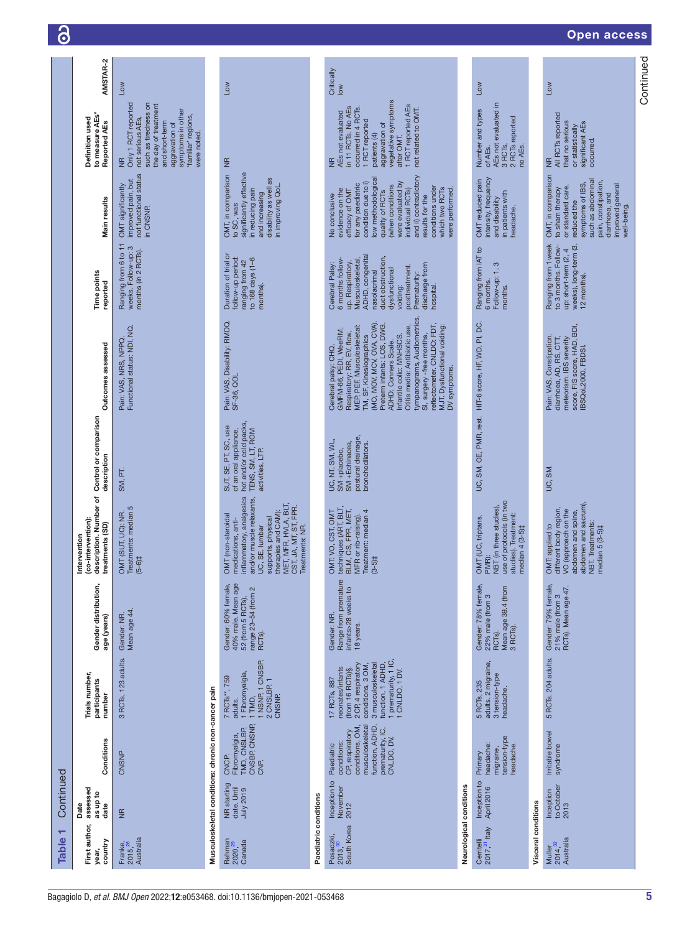|                   | AMSTAR-2                                                                        | <b>Low</b>                                                                                                                                                                                              |                                                     | Low                                                                                                                                                                                                                                 |                       | Critically<br>Iow                                                                                                                                                                                                                                                                                                                                                                                                                     |                         | Mo7                                                                                                                          |                     | <b>Low</b>                                                                                                                                                                                     | Continued |
|-------------------|---------------------------------------------------------------------------------|---------------------------------------------------------------------------------------------------------------------------------------------------------------------------------------------------------|-----------------------------------------------------|-------------------------------------------------------------------------------------------------------------------------------------------------------------------------------------------------------------------------------------|-----------------------|---------------------------------------------------------------------------------------------------------------------------------------------------------------------------------------------------------------------------------------------------------------------------------------------------------------------------------------------------------------------------------------------------------------------------------------|-------------------------|------------------------------------------------------------------------------------------------------------------------------|---------------------|------------------------------------------------------------------------------------------------------------------------------------------------------------------------------------------------|-----------|
|                   | to measure AEs*<br>Definition used<br>Reported AEs                              | such as tiredness on<br>Only 1 RCT reported<br>the day of treatment<br>symptoms in other<br>'familiar' regions,<br>not serious AEs,<br>and short-term<br>aggravation of<br>were noted.<br>$\frac{1}{2}$ |                                                     |                                                                                                                                                                                                                                     |                       | vegetative symptoms<br>1 RCT reported AEs<br>in 11 RCTs. No AEs<br>occurred in 4 RCTs.<br>not related to OMT.<br>NR<br>AEs not evaluated<br>1 RCT reported<br>aggravation of<br>patients (4)<br>after OMT.                                                                                                                                                                                                                            |                         | AEs not evaluated in<br>Number and types<br>2 RCTs reported<br>3RCTs,<br>no AEs.<br>of AEs.                                  |                     | All RCTs reported<br>that no serious<br>or statistically<br>significant AEs<br>occurred.<br>$\frac{\alpha}{2}$                                                                                 |           |
|                   | Main results                                                                    | not functional status<br>improved pain, but<br>OMT significantly<br>in CNSNP.                                                                                                                           |                                                     | OMT, in comparison NR<br>to SC, was<br>significantly effective<br>disability as well as<br>in improving QoL.<br>in reducing pain<br>and increasing                                                                                  |                       | and ii) contradictory<br>low methodological<br>were evaluated by<br>condition due to i)<br>for any paediatric<br>(when conditions<br>conditions under<br>which two RCTs<br>individual RCTs)<br>were performed.<br>evidence on the<br>efficacy of OMT<br>quality of RCTs<br>No conclusive<br>results for the                                                                                                                           |                         | intensity, frequency<br>OMT reduced pain<br>in patients with<br>and disability<br>headache.                                  |                     | OMT, in comparison<br>such as abdominal<br>pain, constipation,<br>symptoms of IBS,<br>improved general<br>or standard care,<br>to sham therapy<br>diarrhoea, and<br>reduced the<br>well-being. |           |
|                   | <b>Time points</b><br>reported                                                  | Ranging from 6 to 11<br>weeks. Follow-up: 3<br>months (in 2 RCTs).                                                                                                                                      |                                                     | Duration of trial or<br>follow-up period:<br>ranging from 42<br>to 168 days (1-6<br>months).                                                                                                                                        |                       | ADHD, congenital<br>duct obstruction,<br>6 months follow-<br>Musculoskeletal,<br>up. Respiratory,<br>Cerebral Palsy:<br>discharge from<br>posttreatment.<br>dysfunctional<br>nasolacrimal<br>Prematurity:<br>hospital.<br>voiding:                                                                                                                                                                                                    |                         | Ranging from IAT to<br>Follow-up: 1, 3<br>6 months.<br>months.                                                               |                     | Ranging from 1 week<br>to 3 months. Follow-<br>weeks), long-term (3,<br>12 months).<br>up: short-term (2, 4                                                                                    |           |
|                   | Outcomes assessed                                                               | Functional status: NDI, NQ.<br>Pain: VAS, NRS, NPPQ.                                                                                                                                                    |                                                     | Pain: VAS. Disability: RMDQ.<br>SF-36, QOL                                                                                                                                                                                          |                       | tympanograms, Audiometrics,<br>(MO, MOV, MCV, OVA, CVA).<br>Preterm infants: LOS, DWG.<br>reflectometer. CNLDO: FDT,<br>MEP, PEF. Musculoskeletal:<br>MJT. Dysfunctional voiding:<br>Otitis media: Antibiotic use,<br>GMFM-66, PEDI, WeeFIM.<br>Respiratory: RR, EV, flow,<br>Infantile colic: MNHSCS.<br>SI, surgery -free months,<br>TM, SF, Kinesiographics<br><b>ADHD: Conners Scale.</b><br>Cerebral palsy: CHQ,<br>DV symptoms. |                         | UC, SM, OE, PMR, rest. HIT-6 score, HF, WD, PI, DC.                                                                          |                     | score, FIS score, HAD, BDI,<br>IBSQoL2000, FBDSI.<br>Pain: VAS. Constipation,<br>diarrhoea, AD, RS, CTT,<br>meteorism. IBS severity                                                            |           |
|                   | Control or comparison<br>description                                            | SM, PT.                                                                                                                                                                                                 |                                                     | hot and/or cold packs,<br>TENS, SM, LT, ROM<br>SUT, SE, PT, SC, use<br>of an oral appliance,<br>activities, LTP.                                                                                                                    |                       | postural drainage,<br>bronchodilators.<br>UC, NT, SM, WL,<br>SM +placebo,<br>SM +Echinacea,                                                                                                                                                                                                                                                                                                                                           |                         |                                                                                                                              |                     | UC, SM.                                                                                                                                                                                        |           |
|                   | description. Number of<br>(co-intervention):<br>treatments (SD)<br>Intervention | Treatments: median 5<br>OMT (SUT, UC): NR.<br>$(5-6)$ #                                                                                                                                                 |                                                     | and/or muscle relaxants,<br>inflammatory, analgesics<br>MET, MFR, HVLA, BLT,<br>CST, JA, MT, ST, FPR.<br>therapies and CAM):<br>OMT (non-steroidal<br>supports, physical<br>medications, anti-<br>Treatments: NR.<br>UC, SE, lumbar |                       | techniques (ART, BLT,<br>BLM, CS, FPR, MET,<br>OMT: VO, CST, OMT<br>Treatment: median 4<br>MFR or rib-raising).<br>$(3 - 5)$ #                                                                                                                                                                                                                                                                                                        |                         | use of protocols (in two<br>NBT (in three studies)<br>studies). Treatment:<br>OMT (UC, triptans,<br>median 4 (3-5)‡<br>PMR): |                     | abdomen and sacrum),<br>different body region,<br>VO (approach on the<br>abdomen and spine,<br>NBT. Treatments:<br>OMT: applied to<br>median 5 (3-5)#                                          |           |
|                   | Gender distribution,<br>age (years)                                             | Gender: NR.<br>Mean age 44.                                                                                                                                                                             |                                                     | 40% male. Mean age<br>52 (from 5 RCTs),<br>Gender: 60% female,<br>range 23-54 (from 2<br>RCT <sub>S</sub> ).                                                                                                                        |                       | Range from premature<br>infants>28 weeks to<br>Gender: NR<br>18 years.                                                                                                                                                                                                                                                                                                                                                                |                         | Gender: 78% female,<br>Mean age 39.4 (from<br>22% male (from 3<br>RCTs).<br>3 RCTs).                                         |                     | Gender: 79% female,<br>RCTs). Mean age 47.<br>21% male (from 3                                                                                                                                 |           |
|                   | Trials number,<br>participants<br>number                                        | 3 RCTs, 123 adults.                                                                                                                                                                                     |                                                     | 1 Fibromyalgia,<br>1 TMD,<br>1 NSNP, 1 CNSBP,<br>2 CNSLBP, 1<br>7 RCTs**, 759<br><b>CNSNP.</b><br>adults.                                                                                                                           |                       | 1 prematurity, 1 IC,<br>1 CNLDO, 1 DV.<br>2 CP, 4 respiratory<br>3 musculoskeletal<br>function, 1 ADHD,<br>conditions, 3 OM<br>neonates/infants<br>(from 16 RCTs)§.<br>17 RCTs, 887                                                                                                                                                                                                                                                   |                         | adults. 2 migraine,<br>3 tension-type<br>5 RCTs, 235<br>headache                                                             |                     | 5 RCTs. 204 adults.                                                                                                                                                                            |           |
|                   | Conditions                                                                      | CNSNP                                                                                                                                                                                                   | Musculoskeletal conditions: chronic non-cancer pain | Fibromyalgia,<br>TMD, CNSLBP,<br>CNSBP, CNSNP,<br>CNP.<br>CNCP:                                                                                                                                                                     |                       | function, ADHD,<br>musculoskeletal<br>conditions, OM,<br>prematurity, IC,<br>CP, respiratory<br>CNLDO, DV.<br>conditions:<br>Paediatric                                                                                                                                                                                                                                                                                               |                         | tension-type<br>headache:<br>headache<br>migraine,<br>Primary                                                                |                     | Irritable bowel<br>syndrome                                                                                                                                                                    |           |
| Continued         | assessed<br>as up to<br>Date<br>date                                            | $rac{\pi}{2}$                                                                                                                                                                                           |                                                     | NR starting<br>date. Until<br>July 2019                                                                                                                                                                                             |                       | Inception to<br>November<br>2012                                                                                                                                                                                                                                                                                                                                                                                                      | Neurological conditions | Inception to<br>April 2016                                                                                                   |                     | to October<br>Inception<br>2013                                                                                                                                                                |           |
| ٣<br><b>Table</b> | First author,<br>country<br>year,                                               | Australia<br>Franke,<br>2015, <sup>28</sup>                                                                                                                                                             |                                                     | Rehman<br>2020, <sup>29</sup><br>Canada                                                                                                                                                                                             | Paediatric conditions | South Korea<br>Posadzki,<br>2013, <sup>30</sup>                                                                                                                                                                                                                                                                                                                                                                                       |                         | Cerritelli<br>2017, <sup>31</sup> Italy                                                                                      | Visceral conditions | Australia<br>Muller<br>2014, <sup>32</sup>                                                                                                                                                     |           |

 $\partial$ 

# Open access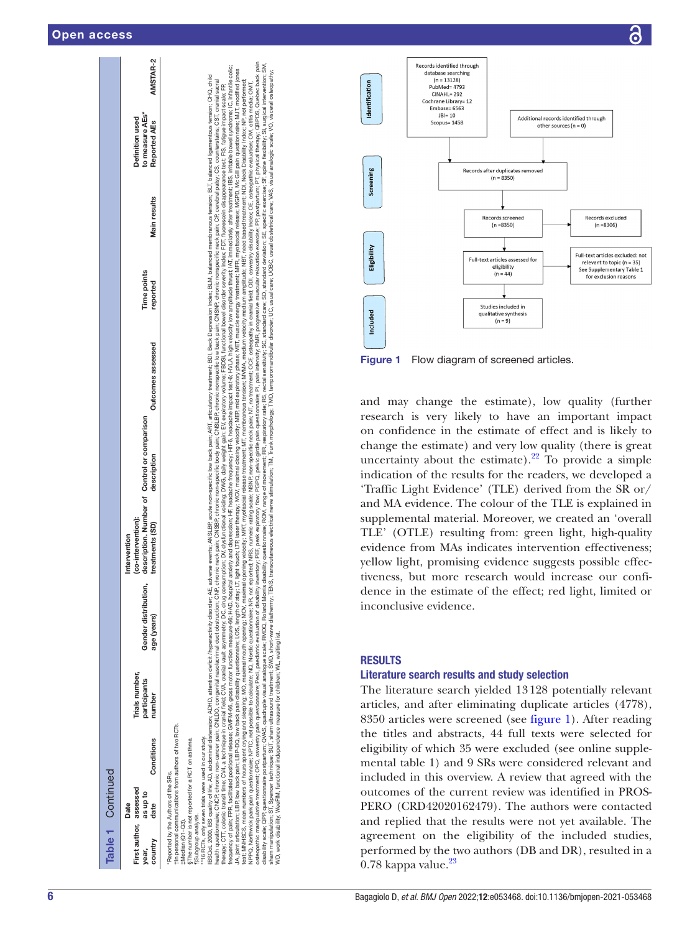|                                        | Table 1 Continued                                                                                                                             |                                                      |                                                                                                                                                                                                                  |                                                                                                                                                                                                                                                                                                                                                                                                                                                          |                                                                                                       |             |                                                                                                                                                                                                                                                                                                                                                                                                                                                                                                                                                                                                                                                                                                                                                                                                                                                                                                                                                                                                                                                                                                                                                                                                                                                                                                                                                                                                                                                                                                                                                                                                                                                                                                                                                                                                                                                                                                                                                                                                                                                                                                                                                                                                                               |                         |              |                                                    |          |
|----------------------------------------|-----------------------------------------------------------------------------------------------------------------------------------------------|------------------------------------------------------|------------------------------------------------------------------------------------------------------------------------------------------------------------------------------------------------------------------|----------------------------------------------------------------------------------------------------------------------------------------------------------------------------------------------------------------------------------------------------------------------------------------------------------------------------------------------------------------------------------------------------------------------------------------------------------|-------------------------------------------------------------------------------------------------------|-------------|-------------------------------------------------------------------------------------------------------------------------------------------------------------------------------------------------------------------------------------------------------------------------------------------------------------------------------------------------------------------------------------------------------------------------------------------------------------------------------------------------------------------------------------------------------------------------------------------------------------------------------------------------------------------------------------------------------------------------------------------------------------------------------------------------------------------------------------------------------------------------------------------------------------------------------------------------------------------------------------------------------------------------------------------------------------------------------------------------------------------------------------------------------------------------------------------------------------------------------------------------------------------------------------------------------------------------------------------------------------------------------------------------------------------------------------------------------------------------------------------------------------------------------------------------------------------------------------------------------------------------------------------------------------------------------------------------------------------------------------------------------------------------------------------------------------------------------------------------------------------------------------------------------------------------------------------------------------------------------------------------------------------------------------------------------------------------------------------------------------------------------------------------------------------------------------------------------------------------------|-------------------------|--------------|----------------------------------------------------|----------|
| country<br>year,                       | First author, assessed<br>op dn se<br>Date<br>date                                                                                            | Conditions                                           | Trials number,<br>participants<br>number                                                                                                                                                                         | Gender distribution,<br>age (years)                                                                                                                                                                                                                                                                                                                                                                                                                      | description. Number of Control or comparison<br>(co-intervention):<br>treatments (SD)<br>Intervention | description | Outcomes assessed                                                                                                                                                                                                                                                                                                                                                                                                                                                                                                                                                                                                                                                                                                                                                                                                                                                                                                                                                                                                                                                                                                                                                                                                                                                                                                                                                                                                                                                                                                                                                                                                                                                                                                                                                                                                                                                                                                                                                                                                                                                                                                                                                                                                             | Time points<br>reported | Main results | to measure AEs*<br>Definition used<br>Reported AEs | AMSTAR-2 |
| Subgroup analysis.<br>rMedian (Q1-Q3). | 16 RCTs, only seven trials were used in our study.<br>SThe number is not reported for a RCT on asthma.<br>Reported by the Authors of the SRs. | In personal communications from authors of two RCTs. | JA, joint articulation; LBP, low back pain; LBP-DQ, low back pain disability questionnaire; LOS, length of stay;<br>VD, work disability; WeeFIM, functional independence measure for children; WL, waiting list. | 3SQoL 2000, IBS quality of life; AD, abdominal distension; ADHD, attention deficit /hyperactivity disorder; AE,<br>nealth questionnaire; CNCP, chronic non-cancer pain; CNLDO, congenital nasolacrimal duct obstruction; CNP,<br>NPPQ, Northwick park pain questionnaire; NPTC, not possible to calculate; NQ, Nordic questionnaire; NR, not<br>sham manipulation; ST, Spencer technique; SUT, sham ultrasound treatment; SWD, short-wave diathermy; TEI |                                                                                                       |             | osteopathic maniputitive traathy pain questionraire; Pedi , paedatric evaluation of disability inventory; PEF, peak expriatory flow; PGPQ, pelviatory flow; PGPQ, pain of sability inverview, PPGPQS, pain of also protons inc<br>disability scale; QPP; quadruple visual analogue scale; RMDQ, RMand Momis disability questionnaire; ROM, range of movement; RR, respriatory rate; RS, restribity; SQ, standard care; SD, standard deviation; SE, specific exer<br>requency of pain; FPR, factiliated position-86, gross motor function measure-66; HAD, hospital anxiely and depression; HF, headache impact test-6; HVLA, high velocity low amplitude thrust; Mi, mmediately after theather bow<br>LT, light touch; LTR, laser therapy; MCV, maximal closing velocity; MEP, mid expiratory phase; MET, muscle energy treatment; MFR, myofascial release; MGPD, Mc Gill pain questionnaire; MJT, modified jones<br>NS, transcutaneous electrical nerve stimulation; TM, Trunk morphology; TMD, temporomandibular disorder; UC, usual care; UOBC, usual obstetrical care; WAS, wisual analogic scale; VO, visceral osteopathy;<br>adverse events; ANSLBP, acute non-specific low back pain; ART, articulatory treatment; BDI, Beck Depression Index; BLM, balanced membranous tension; BLT, balanced ligamentous tension; CHQ, child<br>chronic neck pain; CNSBP, chronic non-specific body pain; CNSLBP, chronic nonspecific low back pain; CNSNP, chronic nonspecific neck pain; CP, cerebral palsy; CS, counterstains; CST, cranial sacral<br>test, mean numbers of hours spent crying, and seeping, MO, maximal maximal opening welocity, MPT, myofascial release teatment; MT, membranous tension; MVMA, medium velocity meetium amplitude; NBT, need based teatment; NDr,<br>reported; NRS, numeric rating scale; NSNR; non-specific neck pain; NT, no treatment; OCF, osteopathy in cranial field; ODi, oswestry disability Index; OE, osteopathic evaluation; OM, othis media; OMT,<br>herapy; CTT, colonic transit time; CVA, cranal field; CVA, cranal valut asymmetry; DC, drug consumption; DV, dysfunctional volding; DVG, daily weight gain; EV, expiratory volume; FBDSi, functional baved discorder severity |                         |              |                                                    |          |



<span id="page-5-0"></span>Figure 1 Flow diagram of screened articles.

and may change the estimate), low quality (further research is very likely to have an important impact on confidence in the estimate of effect and is likely to change the estimate) and very low quality (there is great uncertainty about the estimate).<sup>[22](#page-13-21)</sup> To provide a simple indication of the results for the readers, we developed a 'Traffic Light Evidence' (TLE) derived from the SR or/ and MA evidence. The colour of the TLE is explained in supplemental material. Moreover, we created an 'overall TLE' (OTLE) resulting from: green light, high-quality evidence from MAs indicates intervention effectiveness; yellow light, promising evidence suggests possible effectiveness, but more research would increase our confidence in the estimate of the effect; red light, limited or inconclusive evidence.

# **RESULTS**

# Literature search results and study selection

The literature search yielded 13128 potentially relevant articles, and after eliminating duplicate articles (4778), 8350 articles were screened (see [figure](#page-5-0) 1). After reading the titles and abstracts, 44 full texts were selected for eligibility of which 35 were excluded (see [online supple](https://dx.doi.org/10.1136/bmjopen-2021-053468)[mental table 1](https://dx.doi.org/10.1136/bmjopen-2021-053468)) and 9 SRs were considered relevant and included in this overview. A review that agreed with the outcomes of the current review was identified in PROS-PERO (CRD42020162479). The authors were contacted and replied that the results were not yet available. The agreement on the eligibility of the included studies, performed by the two authors (DB and DR), resulted in a 0.78 kappa value.<sup>[23](#page-13-22)</sup>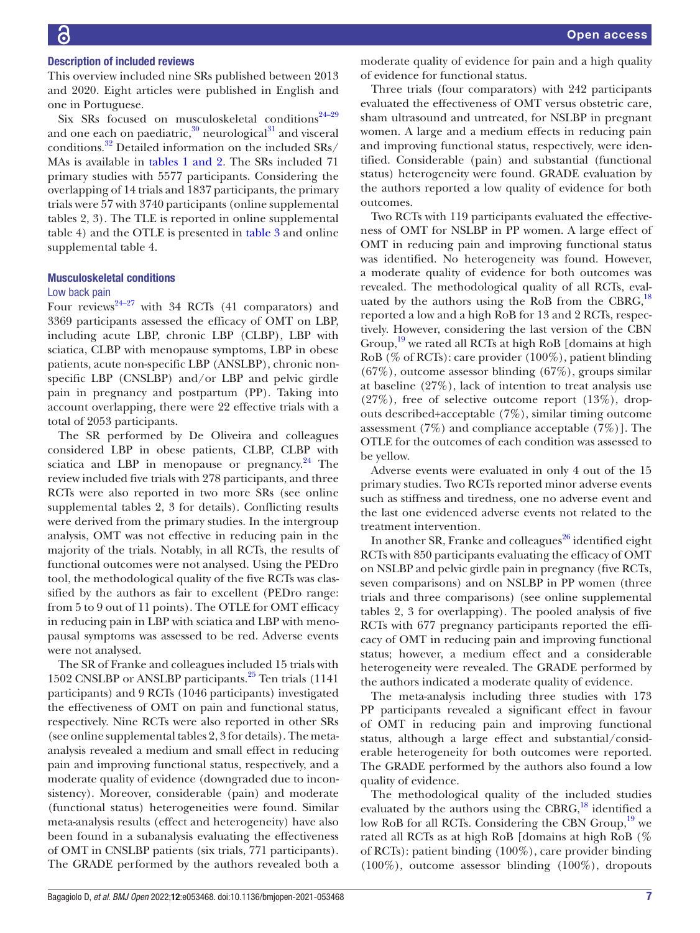# Description of included reviews

This overview included nine SRs published between 2013 and 2020. Eight articles were published in English and one in Portuguese.

Six SRs focused on musculoskeletal conditions $24-29$ and one each on paediatric, $30$  neurological $31$  and visceral conditions[.32](#page-14-3) Detailed information on the included SRs/ MAs is available in tables [1 and 2](#page-3-0). The SRs included 71 primary studies with 5577 participants. Considering the overlapping of 14 trials and 1837 participants, the primary trials were 57 with 3740 participants [\(online supplemental](https://dx.doi.org/10.1136/bmjopen-2021-053468) [tables 2, 3](https://dx.doi.org/10.1136/bmjopen-2021-053468)). The TLE is reported in [online supplemental](https://dx.doi.org/10.1136/bmjopen-2021-053468) [table 4\)](https://dx.doi.org/10.1136/bmjopen-2021-053468) and the OTLE is presented in [table](#page-9-0) 3 and [online](https://dx.doi.org/10.1136/bmjopen-2021-053468) [supplemental table 4](https://dx.doi.org/10.1136/bmjopen-2021-053468).

# Musculoskeletal conditions

# Low back pain

Four reviews $24-27$  with 34 RCTs (41 comparators) and 3369 participants assessed the efficacy of OMT on LBP, including acute LBP, chronic LBP (CLBP), LBP with sciatica, CLBP with menopause symptoms, LBP in obese patients, acute non-specific LBP (ANSLBP), chronic nonspecific LBP (CNSLBP) and/or LBP and pelvic girdle pain in pregnancy and postpartum (PP). Taking into account overlapping, there were 22 effective trials with a total of 2053 participants.

The SR performed by De Oliveira and colleagues considered LBP in obese patients, CLBP, CLBP with sciatica and LBP in menopause or pregnancy. $24$  The review included five trials with 278 participants, and three RCTs were also reported in two more SRs (see [online](https://dx.doi.org/10.1136/bmjopen-2021-053468) [supplemental tables 2, 3](https://dx.doi.org/10.1136/bmjopen-2021-053468) for details). Conflicting results were derived from the primary studies. In the intergroup analysis, OMT was not effective in reducing pain in the majority of the trials. Notably, in all RCTs, the results of functional outcomes were not analysed. Using the PEDro tool, the methodological quality of the five RCTs was classified by the authors as fair to excellent (PEDro range: from 5 to 9 out of 11 points). The OTLE for OMT efficacy in reducing pain in LBP with sciatica and LBP with menopausal symptoms was assessed to be red. Adverse events were not analysed.

The SR of Franke and colleagues included 15 trials with 1502 CNSLBP or ANSLBP participants.<sup>25</sup> Ten trials (1141) participants) and 9 RCTs (1046 participants) investigated the effectiveness of OMT on pain and functional status, respectively. Nine RCTs were also reported in other SRs (see [online supplemental tables 2, 3](https://dx.doi.org/10.1136/bmjopen-2021-053468) for details). The metaanalysis revealed a medium and small effect in reducing pain and improving functional status, respectively, and a moderate quality of evidence (downgraded due to inconsistency). Moreover, considerable (pain) and moderate (functional status) heterogeneities were found. Similar meta-analysis results (effect and heterogeneity) have also been found in a subanalysis evaluating the effectiveness of OMT in CNSLBP patients (six trials, 771 participants). The GRADE performed by the authors revealed both a

moderate quality of evidence for pain and a high quality of evidence for functional status.

Three trials (four comparators) with 242 participants evaluated the effectiveness of OMT versus obstetric care, sham ultrasound and untreated, for NSLBP in pregnant women. A large and a medium effects in reducing pain and improving functional status, respectively, were identified. Considerable (pain) and substantial (functional status) heterogeneity were found. GRADE evaluation by the authors reported a low quality of evidence for both outcomes.

Two RCTs with 119 participants evaluated the effectiveness of OMT for NSLBP in PP women. A large effect of OMT in reducing pain and improving functional status was identified. No heterogeneity was found. However, a moderate quality of evidence for both outcomes was revealed. The methodological quality of all RCTs, evaluated by the authors using the RoB from the CBRG, $^{18}$  $^{18}$  $^{18}$ reported a low and a high RoB for 13 and 2 RCTs, respectively. However, considering the last version of the CBN Group,[19](#page-13-13) we rated all RCTs at high RoB [domains at high RoB (% of RCTs): care provider (100%), patient blinding  $(67\%)$ , outcome assessor blinding  $(67\%)$ , groups similar at baseline (27%), lack of intention to treat analysis use  $(27\%)$ , free of selective outcome report  $(13\%)$ , dropouts described+acceptable (7%), similar timing outcome assessment (7%) and compliance acceptable (7%)]. The OTLE for the outcomes of each condition was assessed to be yellow.

Adverse events were evaluated in only 4 out of the 15 primary studies. Two RCTs reported minor adverse events such as stiffness and tiredness, one no adverse event and the last one evidenced adverse events not related to the treatment intervention.

In another SR, Franke and colleagues<sup>[26](#page-13-18)</sup> identified eight RCTs with 850 participants evaluating the efficacy of OMT on NSLBP and pelvic girdle pain in pregnancy (five RCTs, seven comparisons) and on NSLBP in PP women (three trials and three comparisons) (see [online supplemental](https://dx.doi.org/10.1136/bmjopen-2021-053468)  [tables 2, 3](https://dx.doi.org/10.1136/bmjopen-2021-053468) for overlapping). The pooled analysis of five RCTs with 677 pregnancy participants reported the efficacy of OMT in reducing pain and improving functional status; however, a medium effect and a considerable heterogeneity were revealed. The GRADE performed by the authors indicated a moderate quality of evidence.

The meta-analysis including three studies with 173 PP participants revealed a significant effect in favour of OMT in reducing pain and improving functional status, although a large effect and substantial/considerable heterogeneity for both outcomes were reported. The GRADE performed by the authors also found a low quality of evidence.

The methodological quality of the included studies evaluated by the authors using the CBRG, $^{18}$  identified a low RoB for all RCTs. Considering the CBN Group,<sup>19</sup> we rated all RCTs as at high RoB [domains at high RoB (% of RCTs): patient binding (100%), care provider binding (100%), outcome assessor blinding (100%), dropouts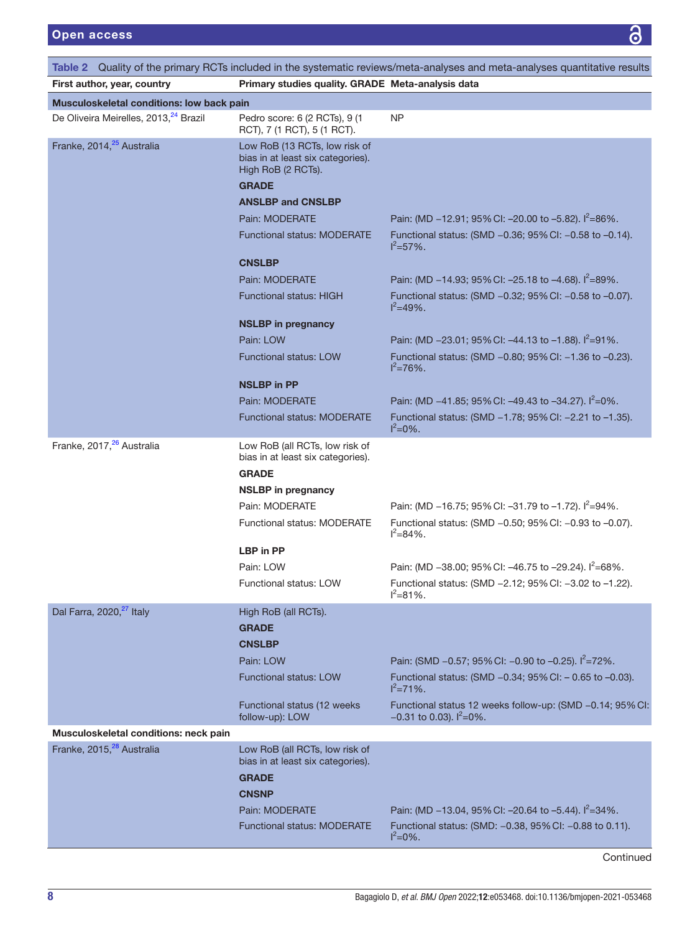|                                                   |                                                                                          | Table 2 Quality of the primary RCTs included in the systematic reviews/meta-analyses and meta-analyses quantitative results |
|---------------------------------------------------|------------------------------------------------------------------------------------------|-----------------------------------------------------------------------------------------------------------------------------|
| First author, year, country                       | Primary studies quality. GRADE Meta-analysis data                                        |                                                                                                                             |
| Musculoskeletal conditions: low back pain         |                                                                                          |                                                                                                                             |
| De Oliveira Meirelles, 2013, <sup>24</sup> Brazil | Pedro score: 6 (2 RCTs), 9 (1<br>RCT), 7 (1 RCT), 5 (1 RCT).                             | NP                                                                                                                          |
| Franke, 2014, <sup>25</sup> Australia             | Low RoB (13 RCTs, low risk of<br>bias in at least six categories).<br>High RoB (2 RCTs). |                                                                                                                             |
|                                                   | <b>GRADE</b>                                                                             |                                                                                                                             |
|                                                   | <b>ANSLBP and CNSLBP</b>                                                                 |                                                                                                                             |
|                                                   | Pain: MODERATE                                                                           | Pain: (MD -12.91; 95% CI: -20.00 to -5.82). $I^2=86\%$ .                                                                    |
|                                                   | <b>Functional status: MODERATE</b>                                                       | Functional status: (SMD -0.36; 95% CI: -0.58 to -0.14).<br>$I^2 = 57\%$ .                                                   |
|                                                   | <b>CNSLBP</b>                                                                            |                                                                                                                             |
|                                                   | Pain: MODERATE                                                                           | Pain: (MD -14.93; 95% CI: -25.18 to -4.68). $I^2$ =89%.                                                                     |
|                                                   | <b>Functional status: HIGH</b>                                                           | Functional status: (SMD -0.32; 95% CI: -0.58 to -0.07).<br>$I^2 = 49\%$ .                                                   |
|                                                   | <b>NSLBP in pregnancy</b>                                                                |                                                                                                                             |
|                                                   | Pain: LOW                                                                                | Pain: (MD -23.01; 95% CI: -44.13 to -1.88). $I^2=91\%$ .                                                                    |
|                                                   | <b>Functional status: LOW</b>                                                            | Functional status: (SMD -0.80; 95% CI: -1.36 to -0.23).<br>$I^2 = 76\%$ .                                                   |
|                                                   | <b>NSLBP in PP</b>                                                                       |                                                                                                                             |
|                                                   | Pain: MODERATE                                                                           | Pain: (MD -41.85; 95% CI: -49.43 to -34.27). $I^2=0\%$ .                                                                    |
|                                                   | <b>Functional status: MODERATE</b>                                                       | Functional status: (SMD -1.78; 95% CI: -2.21 to -1.35).<br>$I^2 = 0\%$ .                                                    |
| Franke, 2017, <sup>26</sup> Australia             | Low RoB (all RCTs, low risk of                                                           |                                                                                                                             |
|                                                   | bias in at least six categories).<br><b>GRADE</b>                                        |                                                                                                                             |
|                                                   | <b>NSLBP</b> in pregnancy                                                                |                                                                                                                             |
|                                                   | Pain: MODERATE                                                                           | Pain: (MD -16.75; 95% CI: -31.79 to -1.72). $I^2=94\%$ .                                                                    |
|                                                   | <b>Functional status: MODERATE</b>                                                       | Functional status: (SMD -0.50; 95% CI: -0.93 to -0.07).<br>$I^2 = 84\%$ .                                                   |
|                                                   | LBP in PP                                                                                |                                                                                                                             |
|                                                   | Pain: LOW                                                                                | Pain: (MD -38.00; 95% CI: -46.75 to -29.24). $I^2$ =68%.                                                                    |
|                                                   | Functional status: LOW                                                                   | Functional status: (SMD -2.12; 95% CI: -3.02 to -1.22).                                                                     |
|                                                   |                                                                                          | $I^2 = 81\%$ .                                                                                                              |
| Dal Farra, 2020, <sup>27</sup> Italy              | High RoB (all RCTs).                                                                     |                                                                                                                             |
|                                                   | <b>GRADE</b>                                                                             |                                                                                                                             |
|                                                   | <b>CNSLBP</b>                                                                            |                                                                                                                             |
|                                                   | Pain: LOW                                                                                | Pain: (SMD -0.57; 95% CI: -0.90 to -0.25). $I^2=72\%$ .                                                                     |
|                                                   | <b>Functional status: LOW</b>                                                            | Functional status: (SMD -0.34; 95% CI: - 0.65 to -0.03).<br>$I^2 = 71\%$ .                                                  |
|                                                   | Functional status (12 weeks<br>follow-up): LOW                                           | Functional status 12 weeks follow-up: (SMD -0.14; 95% CI:<br>$-0.31$ to 0.03). $I^2=0\%$ .                                  |
| Musculoskeletal conditions: neck pain             |                                                                                          |                                                                                                                             |
| Franke, 2015, <sup>28</sup> Australia             | Low RoB (all RCTs, low risk of<br>bias in at least six categories).                      |                                                                                                                             |
|                                                   | <b>GRADE</b>                                                                             |                                                                                                                             |
|                                                   | <b>CNSNP</b><br>Pain: MODERATE                                                           | Pain: (MD -13.04, 95% CI: -20.64 to -5.44). $I^2=34\%$ .                                                                    |
|                                                   | <b>Functional status: MODERATE</b>                                                       | Functional status: (SMD: -0.38, 95% CI: -0.88 to 0.11).<br>$I^2 = 0\%$ .                                                    |
|                                                   |                                                                                          |                                                                                                                             |

Continued

 $\overline{\partial}$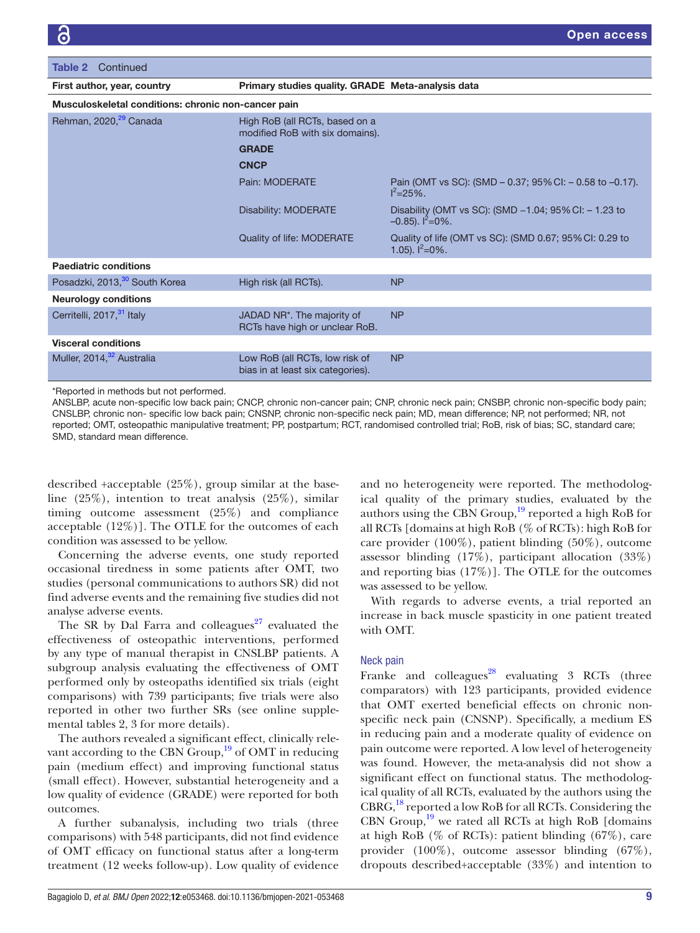| Continued<br>Table 2                                |                                                                     |                                                                                 |
|-----------------------------------------------------|---------------------------------------------------------------------|---------------------------------------------------------------------------------|
| First author, year, country                         | Primary studies quality. GRADE Meta-analysis data                   |                                                                                 |
| Musculoskeletal conditions: chronic non-cancer pain |                                                                     |                                                                                 |
| Rehman, 2020, <sup>29</sup> Canada                  | High RoB (all RCTs, based on a<br>modified RoB with six domains).   |                                                                                 |
|                                                     | <b>GRADE</b>                                                        |                                                                                 |
|                                                     | <b>CNCP</b>                                                         |                                                                                 |
|                                                     | Pain: MODERATE                                                      | Pain (OMT vs SC): (SMD - 0.37; 95% CI: - 0.58 to -0.17).<br>$I^2 = 25\%$ .      |
|                                                     | Disability: MODERATE                                                | Disability (OMT vs SC): (SMD -1.04; 95% CI: - 1.23 to<br>$-0.85$ ). $I^2=0\%$ . |
|                                                     | Quality of life: MODERATE                                           | Quality of life (OMT vs SC): (SMD 0.67; 95% CI: 0.29 to<br>1.05). $I^2=0\%$ .   |
| <b>Paediatric conditions</b>                        |                                                                     |                                                                                 |
| Posadzki, 2013, <sup>30</sup> South Korea           | High risk (all RCTs).                                               | <b>NP</b>                                                                       |
| <b>Neurology conditions</b>                         |                                                                     |                                                                                 |
| Cerritelli, 2017, <sup>31</sup> Italy               | JADAD NR*. The majority of<br>RCTs have high or unclear RoB.        | <b>NP</b>                                                                       |
| <b>Visceral conditions</b>                          |                                                                     |                                                                                 |
| Muller, 2014, <sup>32</sup> Australia               | Low RoB (all RCTs, low risk of<br>bias in at least six categories). | <b>NP</b>                                                                       |

\*Reported in methods but not performed.

ANSLBP, acute non-specific low back pain; CNCP, chronic non-cancer pain; CNP, chronic neck pain; CNSBP, chronic non-specific body pain; CNSLBP, chronic non- specific low back pain; CNSNP, chronic non-specific neck pain; MD, mean difference; NP, not performed; NR, not reported; OMT, osteopathic manipulative treatment; PP, postpartum; RCT, randomised controlled trial; RoB, risk of bias; SC, standard care; SMD, standard mean difference.

described +acceptable (25%), group similar at the baseline (25%), intention to treat analysis (25%), similar timing outcome assessment (25%) and compliance acceptable (12%)]. The OTLE for the outcomes of each condition was assessed to be yellow.

Concerning the adverse events, one study reported occasional tiredness in some patients after OMT, two studies (personal communications to authors SR) did not find adverse events and the remaining five studies did not analyse adverse events.

The SR by Dal Farra and colleagues $27$  evaluated the effectiveness of osteopathic interventions, performed by any type of manual therapist in CNSLBP patients. A subgroup analysis evaluating the effectiveness of OMT performed only by osteopaths identified six trials (eight comparisons) with 739 participants; five trials were also reported in other two further SRs (see [online supple](https://dx.doi.org/10.1136/bmjopen-2021-053468)[mental tables 2, 3](https://dx.doi.org/10.1136/bmjopen-2021-053468) for more details).

The authors revealed a significant effect, clinically relevant according to the CBN Group,<sup>19</sup> of OMT in reducing pain (medium effect) and improving functional status (small effect). However, substantial heterogeneity and a low quality of evidence (GRADE) were reported for both outcomes.

A further subanalysis, including two trials (three comparisons) with 548 participants, did not find evidence of OMT efficacy on functional status after a long-term treatment (12 weeks follow-up). Low quality of evidence and no heterogeneity were reported. The methodological quality of the primary studies, evaluated by the authors using the CBN Group, $19$  reported a high RoB for all RCTs [domains at high RoB (% of RCTs): high RoB for care provider (100%), patient blinding (50%), outcome assessor blinding (17%), participant allocation (33%) and reporting bias (17%)]. The OTLE for the outcomes was assessed to be yellow.

With regards to adverse events, a trial reported an increase in back muscle spasticity in one patient treated with OMT.

# Neck pain

Franke and colleagues $^{28}$  evaluating 3 RCTs (three comparators) with 123 participants, provided evidence that OMT exerted beneficial effects on chronic nonspecific neck pain (CNSNP). Specifically, a medium ES in reducing pain and a moderate quality of evidence on pain outcome were reported. A low level of heterogeneity was found. However, the meta-analysis did not show a significant effect on functional status. The methodological quality of all RCTs, evaluated by the authors using the  $CBRG<sup>18</sup>$  reported a low RoB for all RCTs. Considering the CBN Group, $^{19}$  we rated all RCTs at high RoB [domains] at high RoB (% of RCTs): patient blinding (67%), care provider (100%), outcome assessor blinding (67%), dropouts described+acceptable (33%) and intention to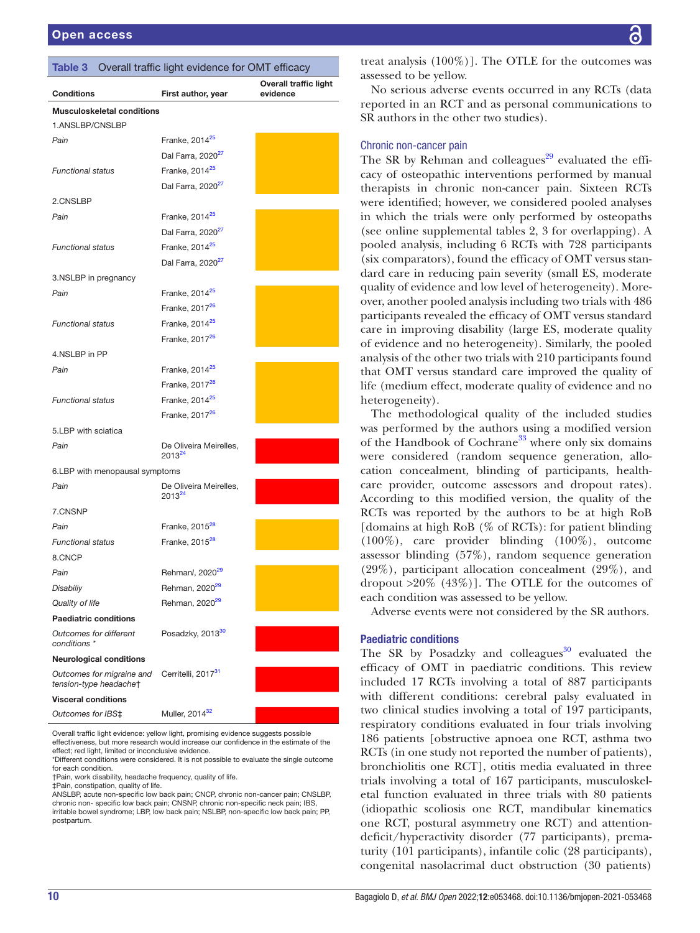<span id="page-9-0"></span>

| <b>Table 3</b> Overall traffic light evidence for OMT efficacy |                                       |                                          |
|----------------------------------------------------------------|---------------------------------------|------------------------------------------|
| <b>Conditions</b>                                              | First author, year                    | <b>Overall traffic light</b><br>evidence |
| <b>Musculoskeletal conditions</b>                              |                                       |                                          |
| 1.ANSLBP/CNSLBP                                                |                                       |                                          |
| Pain                                                           | Franke, 2014 <sup>25</sup>            |                                          |
|                                                                | Dal Farra, 2020 <sup>27</sup>         |                                          |
| <b>Functional status</b>                                       | Franke, 2014 <sup>25</sup>            |                                          |
|                                                                | Dal Farra, 2020 <sup>27</sup>         |                                          |
| 2.CNSLBP                                                       |                                       |                                          |
| Pain                                                           | Franke, 2014 <sup>25</sup>            |                                          |
|                                                                | Dal Farra, 2020 <sup>27</sup>         |                                          |
| <b>Functional status</b>                                       | Franke, 2014 <sup>25</sup>            |                                          |
|                                                                | Dal Farra, 2020 <sup>27</sup>         |                                          |
| 3.NSLBP in pregnancy                                           |                                       |                                          |
| Pain                                                           | Franke, 2014 <sup>25</sup>            |                                          |
|                                                                | Franke, 2017 <sup>26</sup>            |                                          |
| <b>Functional status</b>                                       | Franke, 2014 <sup>25</sup>            |                                          |
|                                                                | Franke, 2017 <sup>26</sup>            |                                          |
| 4.NSLBP in PP                                                  |                                       |                                          |
| Pain                                                           | Franke, 2014 <sup>25</sup>            |                                          |
|                                                                | Franke, 2017 <sup>26</sup>            |                                          |
| <b>Functional status</b>                                       | Franke, 2014 <sup>25</sup>            |                                          |
|                                                                | Franke, 2017 <sup>26</sup>            |                                          |
| 5.LBP with sciatica                                            |                                       |                                          |
| Pain                                                           | De Oliveira Meirelles,<br>$2013^{24}$ |                                          |
| 6.LBP with menopausal symptoms                                 |                                       |                                          |
| Pain                                                           | De Oliveira Meirelles,<br>$2013^{24}$ |                                          |
| 7.CNSNP                                                        |                                       |                                          |
| Pain                                                           | Franke, 2015 <sup>28</sup>            |                                          |
| <b>Functional status</b>                                       | Franke, 2015 <sup>28</sup>            |                                          |
| 8.CNCP                                                         |                                       |                                          |
| Pain                                                           | Rehman/, 2020 <sup>29</sup>           |                                          |
| Disabiliy                                                      | Rehman, 2020 <sup>29</sup>            |                                          |
| Quality of life                                                | Rehman, 2020 <sup>29</sup>            |                                          |
| <b>Paediatric conditions</b>                                   |                                       |                                          |
| Outcomes for different<br>conditions *                         | Posadzky, 2013 <sup>30</sup>          |                                          |
| <b>Neurological conditions</b>                                 |                                       |                                          |
| Outcomes for migraine and<br>tension-type headache†            | Cerritelli, 2017 <sup>31</sup>        |                                          |
| <b>Visceral conditions</b>                                     |                                       |                                          |
| Outcomes for IBS‡                                              | Muller, 2014 <sup>32</sup>            |                                          |

Overall traffic light evidence: yellow light, promising evidence suggests possible effectiveness, but more research would increase our confidence in the estimate of the effect; red light, limited or inconclusive evidence.

\*Different conditions were considered. It is not possible to evaluate the single outcome for each condition.

†Pain, work disability, headache frequency, quality of life.

‡Pain, constipation, quality of life.

ANSLBP, acute non-specific low back pain; CNCP, chronic non-cancer pain; CNSLBP, chronic non- specific low back pain; CNSNP, chronic non-specific neck pain; IBS, irritable bowel syndrome; LBP, low back pain; NSLBP, non-specific low back pain; PP, postpartum.

treat analysis  $(100\%)$ ]. The OTLE for the outcomes was assessed to be yellow.

No serious adverse events occurred in any RCTs (data reported in an RCT and as personal communications to SR authors in the other two studies).

# Chronic non-cancer pain

The SR by Rehman and colleagues<sup>29</sup> evaluated the efficacy of osteopathic interventions performed by manual therapists in chronic non-cancer pain. Sixteen RCTs were identified; however, we considered pooled analyses in which the trials were only performed by osteopaths (see [online supplemental tables 2, 3](https://dx.doi.org/10.1136/bmjopen-2021-053468) for overlapping). A pooled analysis, including 6 RCTs with 728 participants (six comparators), found the efficacy of OMT versus standard care in reducing pain severity (small ES, moderate quality of evidence and low level of heterogeneity). Moreover, another pooled analysis including two trials with 486 participants revealed the efficacy of OMT versus standard care in improving disability (large ES, moderate quality of evidence and no heterogeneity). Similarly, the pooled analysis of the other two trials with 210 participants found that OMT versus standard care improved the quality of life (medium effect, moderate quality of evidence and no heterogeneity).

The methodological quality of the included studies was performed by the authors using a modified version of the Handbook of Cochrane<sup>[33](#page-14-4)</sup> where only six domains were considered (random sequence generation, allocation concealment, blinding of participants, healthcare provider, outcome assessors and dropout rates). According to this modified version, the quality of the RCTs was reported by the authors to be at high RoB [domains at high RoB (% of RCTs): for patient blinding (100%), care provider blinding (100%), outcome assessor blinding (57%), random sequence generation (29%), participant allocation concealment (29%), and dropout  $>20\%$  (43%)]. The OTLE for the outcomes of each condition was assessed to be yellow.

Adverse events were not considered by the SR authors.

# Paediatric conditions

The SR by Posadzky and colleagues<sup>30</sup> evaluated the efficacy of OMT in paediatric conditions. This review included 17 RCTs involving a total of 887 participants with different conditions: cerebral palsy evaluated in two clinical studies involving a total of 197 participants, respiratory conditions evaluated in four trials involving 186 patients [obstructive apnoea one RCT, asthma two RCTs (in one study not reported the number of patients), bronchiolitis one RCT], otitis media evaluated in three trials involving a total of 167 participants, musculoskeletal function evaluated in three trials with 80 patients (idiopathic scoliosis one RCT, mandibular kinematics one RCT, postural asymmetry one RCT) and attentiondeficit/hyperactivity disorder (77 participants), prematurity (101 participants), infantile colic (28 participants), congenital nasolacrimal duct obstruction (30 patients)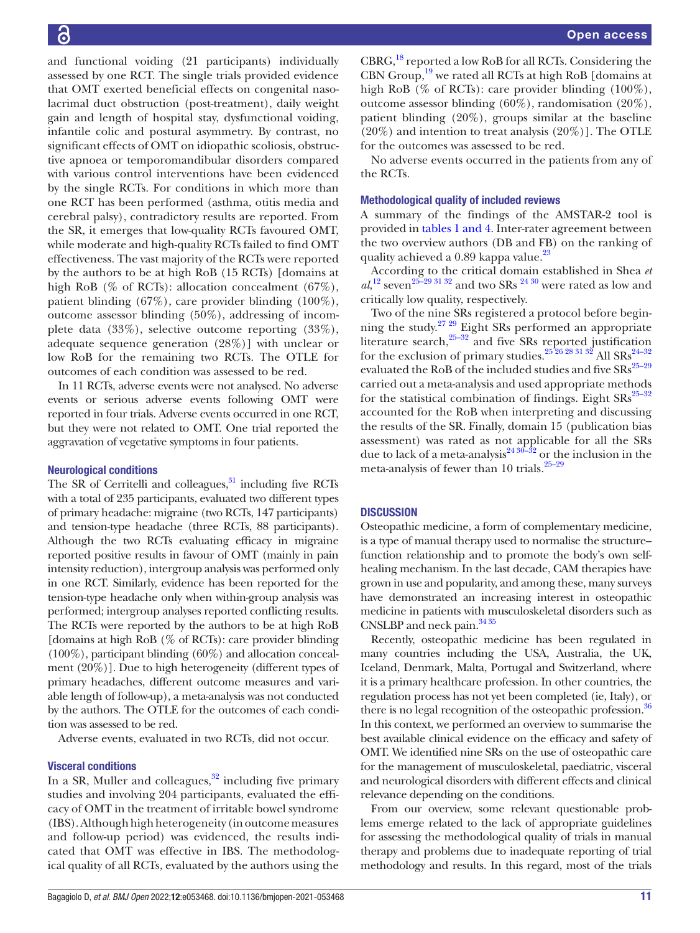and functional voiding (21 participants) individually assessed by one RCT. The single trials provided evidence that OMT exerted beneficial effects on congenital nasolacrimal duct obstruction (post-treatment), daily weight gain and length of hospital stay, dysfunctional voiding, infantile colic and postural asymmetry. By contrast, no significant effects of OMT on idiopathic scoliosis, obstructive apnoea or temporomandibular disorders compared with various control interventions have been evidenced by the single RCTs. For conditions in which more than one RCT has been performed (asthma, otitis media and cerebral palsy), contradictory results are reported. From the SR, it emerges that low-quality RCTs favoured OMT, while moderate and high-quality RCTs failed to find OMT effectiveness. The vast majority of the RCTs were reported by the authors to be at high RoB (15 RCTs) [domains at high RoB (% of RCTs): allocation concealment (67%), patient blinding (67%), care provider blinding (100%), outcome assessor blinding (50%), addressing of incomplete data (33%), selective outcome reporting (33%), adequate sequence generation (28%)] with unclear or low RoB for the remaining two RCTs. The OTLE for outcomes of each condition was assessed to be red.

In 11 RCTs, adverse events were not analysed. No adverse events or serious adverse events following OMT were reported in four trials. Adverse events occurred in one RCT, but they were not related to OMT. One trial reported the aggravation of vegetative symptoms in four patients.

# Neurological conditions

The SR of Cerritelli and colleagues, $31$  including five RCTs with a total of 235 participants, evaluated two different types of primary headache: migraine (two RCTs, 147 participants) and tension-type headache (three RCTs, 88 participants). Although the two RCTs evaluating efficacy in migraine reported positive results in favour of OMT (mainly in pain intensity reduction), intergroup analysis was performed only in one RCT. Similarly, evidence has been reported for the tension-type headache only when within-group analysis was performed; intergroup analyses reported conflicting results. The RCTs were reported by the authors to be at high RoB [domains at high RoB (% of RCTs): care provider blinding (100%), participant blinding (60%) and allocation concealment (20%)]. Due to high heterogeneity (different types of primary headaches, different outcome measures and variable length of follow-up), a meta-analysis was not conducted by the authors. The OTLE for the outcomes of each condition was assessed to be red.

Adverse events, evaluated in two RCTs, did not occur.

# Visceral conditions

In a SR, Muller and colleagues, $32$  including five primary studies and involving 204 participants, evaluated the efficacy of OMT in the treatment of irritable bowel syndrome (IBS). Although high heterogeneity (in outcome measures and follow-up period) was evidenced, the results indicated that OMT was effective in IBS. The methodological quality of all RCTs, evaluated by the authors using the

 $CBRG$ ,<sup>18</sup> reported a low RoB for all RCTs. Considering the  $CBN$  Group, <sup>19</sup> we rated all RCTs at high RoB [domains at high RoB (% of RCTs): care provider blinding (100%), outcome assessor blinding (60%), randomisation (20%), patient blinding (20%), groups similar at the baseline  $(20\%)$  and intention to treat analysis  $(20\%)$ ]. The OTLE for the outcomes was assessed to be red.

No adverse events occurred in the patients from any of the RCTs.

### Methodological quality of included reviews

A summary of the findings of the AMSTAR-2 tool is provided in tables [1 and 4.](#page-3-0) Inter-rater agreement between the two overview authors (DB and FB) on the ranking of quality achieved a 0.89 kappa value. $^{23}$  $^{23}$  $^{23}$ 

According to the critical domain established in Shea *et*   $al$ <sup>12</sup>, seven<sup>25–29 31 <sup>32</sup> and two SRs<sup>[24 30](#page-13-16)</sup> were rated as low and</sup> critically low quality, respectively.

Two of the nine SRs registered a protocol before beginning the study. $27 \frac{29}{29}$  Eight SRs performed an appropriate literature search, $25-32$  and five SRs reported justification for the exclusion of primary studies. $^{25\,26\,28\,31\,32}$  All SRs $^{24\!-\!32}$ evaluated the RoB of the included studies and five SRs<sup>25-29</sup> carried out a meta-analysis and used appropriate methods for the statistical combination of findings. Eight  $SRs^{25-32}$ accounted for the RoB when interpreting and discussing the results of the SR. Finally, domain 15 (publication bias assessment) was rated as not applicable for all the SRs due to lack of a meta-analysis $2430-32$  or the inclusion in the meta-analysis of fewer than 10 trials. $25-29$ 

# **DISCUSSION**

Osteopathic medicine, a form of complementary medicine, is a type of manual therapy used to normalise the structure– function relationship and to promote the body's own selfhealing mechanism. In the last decade, CAM therapies have grown in use and popularity, and among these, many surveys have demonstrated an increasing interest in osteopathic medicine in patients with musculoskeletal disorders such as CNSLBP and neck pain. $34\frac{35}{35}$ 

Recently, osteopathic medicine has been regulated in many countries including the USA, Australia, the UK, Iceland, Denmark, Malta, Portugal and Switzerland, where it is a primary healthcare profession. In other countries, the regulation process has not yet been completed (ie, Italy), or there is no legal recognition of the osteopathic profession.<sup>36</sup> In this context, we performed an overview to summarise the best available clinical evidence on the efficacy and safety of OMT. We identified nine SRs on the use of osteopathic care for the management of musculoskeletal, paediatric, visceral and neurological disorders with different effects and clinical relevance depending on the conditions.

From our overview, some relevant questionable problems emerge related to the lack of appropriate guidelines for assessing the methodological quality of trials in manual therapy and problems due to inadequate reporting of trial methodology and results. In this regard, most of the trials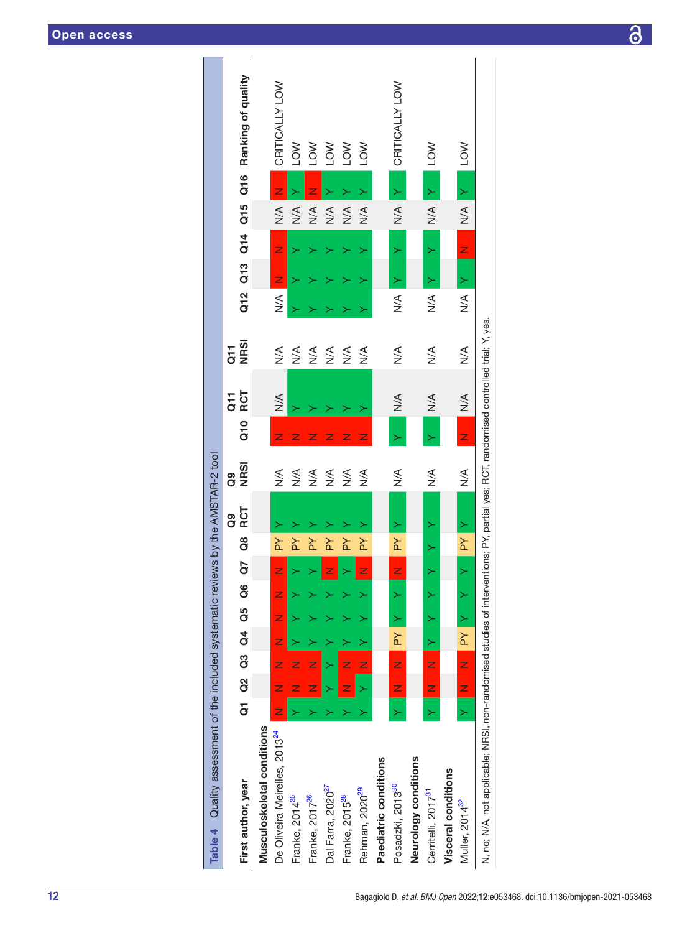| Table 4 Quality assessment of the included systematic reviews by the AMSTAR-2 tool                                                    |        |   |   |            |                   |                 |   |        |           |                                  |                |                       |                               |               |             |   |               |                        |
|---------------------------------------------------------------------------------------------------------------------------------------|--------|---|---|------------|-------------------|-----------------|---|--------|-----------|----------------------------------|----------------|-----------------------|-------------------------------|---------------|-------------|---|---------------|------------------------|
| First author, year                                                                                                                    |        |   |   |            | Q1 Q2 Q3 Q4 Q5 Q6 |                 | ā | 8O     | RCT<br>ၛၟ | <b>NRSI</b><br>ၛၟ                | $\frac{1}{2}$  | RCT<br>$\overline{5}$ | <b>NRSI</b><br>$\overline{5}$ |               | Q12 Q13 Q14 |   | Q15           | Q16 Ranking of quality |
| Musculoskeletal conditions                                                                                                            |        |   |   |            |                   |                 |   |        |           |                                  |                |                       |                               |               |             |   |               |                        |
| De Oliveira Meirelles, 2013 <sup>24</sup>                                                                                             |        |   |   |            | Z                 | Z               | Z | $\geq$ |           | $\frac{1}{2}$                    |                | $\frac{4}{2}$         | $\frac{1}{2}$                 | $\frac{1}{2}$ | Z           | Z | $\frac{1}{2}$ | CRITICALLY LOW         |
| Franke, 2014 <sup>25</sup>                                                                                                            |        |   |   |            |                   |                 |   | λĀ     |           | $\stackrel{\triangleleft}{\geq}$ |                |                       | $\frac{1}{2}$                 |               |             |   | $\frac{1}{2}$ | <b>NOT</b>             |
| Franke, 2017 <sup>26</sup>                                                                                                            |        |   | Z |            |                   |                 |   | $\geq$ |           | $\stackrel{\triangle}{\geq}$     |                |                       | $\frac{1}{2}$                 |               |             |   | $\frac{1}{2}$ | $\geq$                 |
| Dal Farra, 2020 <sup>27</sup>                                                                                                         |        |   |   |            |                   |                 | Z | $\geq$ |           | $\lessgtr$                       |                |                       | $\frac{1}{2}$                 |               |             |   | $\frac{1}{2}$ | NO <sub>1</sub>        |
| Franke, 2015 <sup>28</sup>                                                                                                            |        |   |   |            |                   |                 |   | $\geq$ |           | $\lessgtr$                       |                |                       | $\frac{1}{2}$                 |               |             |   | $\frac{1}{2}$ | NO <sub>T</sub>        |
| Rehman, 2020 <sup>29</sup>                                                                                                            |        |   |   |            |                   |                 | Z | $\geq$ |           | $\frac{1}{2}$                    |                |                       | $\frac{1}{2}$                 |               |             |   | $\frac{1}{2}$ | <b>NOT</b>             |
| Paediatric conditions                                                                                                                 |        |   |   |            |                   |                 |   |        |           |                                  |                |                       |                               |               |             |   |               |                        |
| Posadzki, 2013 <sup>30</sup>                                                                                                          |        | z | z | $\approx$  | ≻<br>≧<br>—       |                 | Z | $\geq$ |           | $\frac{1}{2}$                    |                | $\frac{4}{2}$         | $\frac{1}{2}$                 | ⋚             |             | ≻ | $\frac{1}{2}$ | CRITICALLY LOW         |
| Neurology conditions                                                                                                                  |        |   |   |            |                   |                 |   |        |           |                                  |                |                       |                               |               |             |   |               |                        |
| Cerritelli, 2017 <sup>31</sup>                                                                                                        |        | Z | Z |            |                   |                 |   |        |           | ⋚                                |                | $\frac{4}{2}$         | $\frac{4}{2}$                 | $\frac{1}{2}$ |             |   | $\frac{1}{2}$ | <b>NO7</b>             |
| Visceral conditions                                                                                                                   |        |   |   |            |                   |                 |   |        |           |                                  |                |                       |                               |               |             |   |               |                        |
| Muller, 2014 <sup>32</sup>                                                                                                            | l<br>> | Z | z | <b>NNV</b> |                   | <sup>&gt;</sup> |   | $\geq$ |           | ⋚                                | $\overline{z}$ | $\frac{1}{2}$         | $\frac{1}{2}$                 | ≸             |             | Z | $\frac{1}{2}$ | <b>NO7</b>             |
| N, no; N/A, not applicable; NRSI, non-randomised studies of interventions; PY, partial yes; RCT, randomised controlled trial; Y, yes. |        |   |   |            |                   |                 |   |        |           |                                  |                |                       |                               |               |             |   |               |                        |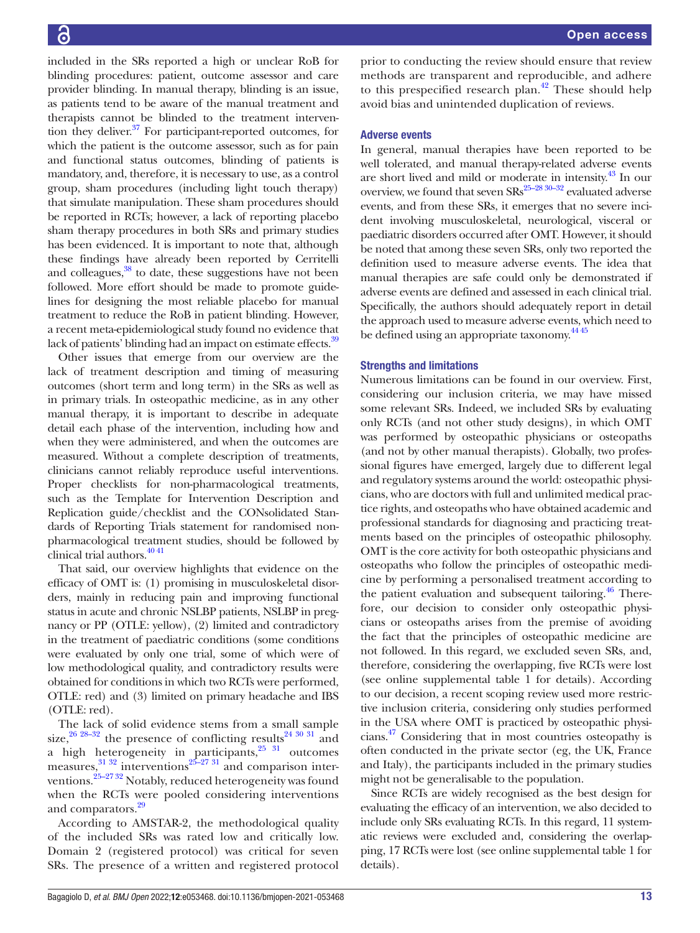included in the SRs reported a high or unclear RoB for blinding procedures: patient, outcome assessor and care provider blinding. In manual therapy, blinding is an issue, as patients tend to be aware of the manual treatment and therapists cannot be blinded to the treatment intervention they deliver.<sup>37</sup> For participant-reported outcomes, for which the patient is the outcome assessor, such as for pain and functional status outcomes, blinding of patients is mandatory, and, therefore, it is necessary to use, as a control group, sham procedures (including light touch therapy) that simulate manipulation. These sham procedures should be reported in RCTs; however, a lack of reporting placebo sham therapy procedures in both SRs and primary studies has been evidenced. It is important to note that, although these findings have already been reported by Cerritelli and colleagues,<sup>38</sup> to date, these suggestions have not been followed. More effort should be made to promote guidelines for designing the most reliable placebo for manual treatment to reduce the RoB in patient blinding. However, a recent meta-epidemiological study found no evidence that lack of patients' blinding had an impact on estimate effects.<sup>[39](#page-14-9)</sup>

Other issues that emerge from our overview are the lack of treatment description and timing of measuring outcomes (short term and long term) in the SRs as well as in primary trials. In osteopathic medicine, as in any other manual therapy, it is important to describe in adequate detail each phase of the intervention, including how and when they were administered, and when the outcomes are measured. Without a complete description of treatments, clinicians cannot reliably reproduce useful interventions. Proper checklists for non-pharmacological treatments, such as the Template for Intervention Description and Replication guide/checklist and the CONsolidated Standards of Reporting Trials statement for randomised nonpharmacological treatment studies, should be followed by clinical trial authors.<sup>40 41</sup>

That said, our overview highlights that evidence on the efficacy of OMT is: (1) promising in musculoskeletal disorders, mainly in reducing pain and improving functional status in acute and chronic NSLBP patients, NSLBP in pregnancy or PP (OTLE: yellow), (2) limited and contradictory in the treatment of paediatric conditions (some conditions were evaluated by only one trial, some of which were of low methodological quality, and contradictory results were obtained for conditions in which two RCTs were performed, OTLE: red) and (3) limited on primary headache and IBS (OTLE: red).

The lack of solid evidence stems from a small sample size,<sup>[26 28–32](#page-13-18)</sup> the presence of conflicting results<sup>24 30 31</sup> and a high heterogeneity in participants, $^{25}$   $^{31}$  outcomes measures, $31\,32$  interventions $25-27\,31$  and comparison interventions.<sup>25-27 32</sup> Notably, reduced heterogeneity was found when the RCTs were pooled considering interventions and comparators.<sup>[29](#page-14-0)</sup>

According to AMSTAR-2, the methodological quality of the included SRs was rated low and critically low. Domain 2 (registered protocol) was critical for seven SRs. The presence of a written and registered protocol

prior to conducting the review should ensure that review methods are transparent and reproducible, and adhere to this prespecified research plan.<sup>[42](#page-14-11)</sup> These should help avoid bias and unintended duplication of reviews.

### Adverse events

In general, manual therapies have been reported to be well tolerated, and manual therapy-related adverse events are short lived and mild or moderate in intensity.<sup>43</sup> In our overview, we found that seven  $\text{SRs}^{25-28\cdot30-32}$  evaluated adverse events, and from these SRs, it emerges that no severe incident involving musculoskeletal, neurological, visceral or paediatric disorders occurred after OMT. However, it should be noted that among these seven SRs, only two reported the definition used to measure adverse events. The idea that manual therapies are safe could only be demonstrated if adverse events are defined and assessed in each clinical trial. Specifically, the authors should adequately report in detail the approach used to measure adverse events, which need to be defined using an appropriate taxonomy.<sup>[44 45](#page-14-13)</sup>

# Strengths and limitations

Numerous limitations can be found in our overview. First, considering our inclusion criteria, we may have missed some relevant SRs. Indeed, we included SRs by evaluating only RCTs (and not other study designs), in which OMT was performed by osteopathic physicians or osteopaths (and not by other manual therapists). Globally, two professional figures have emerged, largely due to different legal and regulatory systems around the world: osteopathic physicians, who are doctors with full and unlimited medical practice rights, and osteopaths who have obtained academic and professional standards for diagnosing and practicing treatments based on the principles of osteopathic philosophy. OMT is the core activity for both osteopathic physicians and osteopaths who follow the principles of osteopathic medicine by performing a personalised treatment according to the patient evaluation and subsequent tailoring.<sup>[46](#page-14-14)</sup> Therefore, our decision to consider only osteopathic physicians or osteopaths arises from the premise of avoiding the fact that the principles of osteopathic medicine are not followed. In this regard, we excluded seven SRs, and, therefore, considering the overlapping, five RCTs were lost (see [online supplemental table 1](https://dx.doi.org/10.1136/bmjopen-2021-053468) for details). According to our decision, a recent scoping review used more restrictive inclusion criteria, considering only studies performed in the USA where OMT is practiced by osteopathic physicians[.47](#page-14-15) Considering that in most countries osteopathy is often conducted in the private sector (eg, the UK, France and Italy), the participants included in the primary studies might not be generalisable to the population.

Since RCTs are widely recognised as the best design for evaluating the efficacy of an intervention, we also decided to include only SRs evaluating RCTs. In this regard, 11 systematic reviews were excluded and, considering the overlapping, 17 RCTs were lost (see [online supplemental table 1](https://dx.doi.org/10.1136/bmjopen-2021-053468) for details).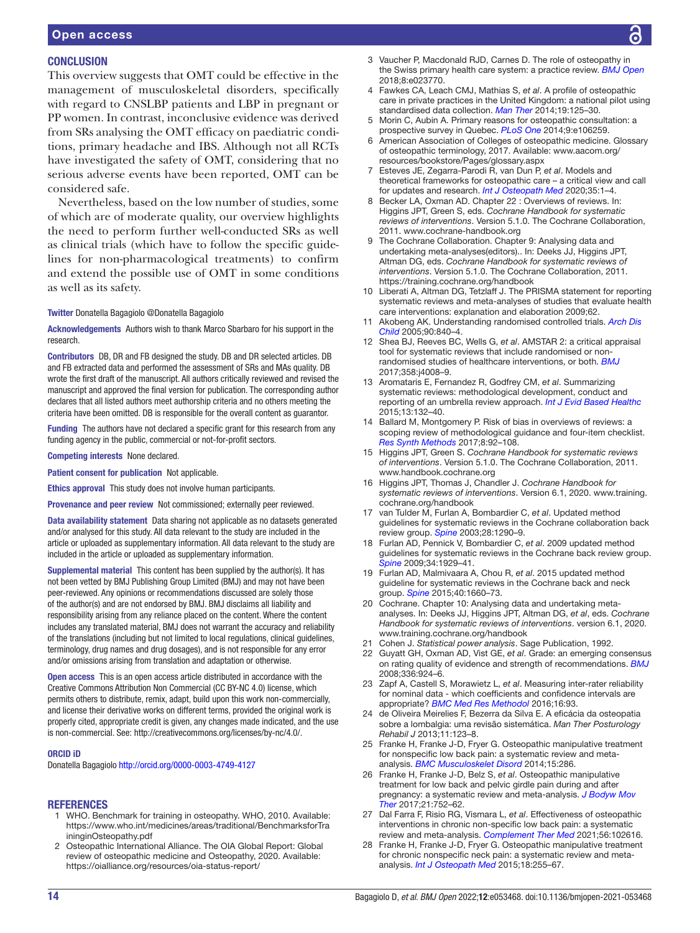# Open access

# **CONCLUSION**

This overview suggests that OMT could be effective in the management of musculoskeletal disorders, specifically with regard to CNSLBP patients and LBP in pregnant or PP women. In contrast, inconclusive evidence was derived from SRs analysing the OMT efficacy on paediatric conditions, primary headache and IBS. Although not all RCTs have investigated the safety of OMT, considering that no serious adverse events have been reported, OMT can be considered safe.

Nevertheless, based on the low number of studies, some of which are of moderate quality, our overview highlights the need to perform further well-conducted SRs as well as clinical trials (which have to follow the specific guidelines for non-pharmacological treatments) to confirm and extend the possible use of OMT in some conditions as well as its safety.

#### Twitter Donatella Bagagiolo [@Donatella Bagagiolo](https://twitter.com/Donatella Bagagiolo)

Acknowledgements Authors wish to thank Marco Sbarbaro for his support in the research.

Contributors DB, DR and FB designed the study. DB and DR selected articles. DB and FB extracted data and performed the assessment of SRs and MAs quality. DB wrote the first draft of the manuscript. All authors critically reviewed and revised the manuscript and approved the final version for publication. The corresponding author declares that all listed authors meet authorship criteria and no others meeting the criteria have been omitted. DB is responsible for the overall content as guarantor.

Funding The authors have not declared a specific grant for this research from any funding agency in the public, commercial or not-for-profit sectors.

Competing interests None declared.

Patient consent for publication Not applicable.

Ethics approval This study does not involve human participants.

Provenance and peer review Not commissioned; externally peer reviewed.

Data availability statement Data sharing not applicable as no datasets generated and/or analysed for this study. All data relevant to the study are included in the article or uploaded as supplementary information. All data relevant to the study are included in the article or uploaded as supplementary information.

Supplemental material This content has been supplied by the author(s). It has not been vetted by BMJ Publishing Group Limited (BMJ) and may not have been peer-reviewed. Any opinions or recommendations discussed are solely those of the author(s) and are not endorsed by BMJ. BMJ disclaims all liability and responsibility arising from any reliance placed on the content. Where the content includes any translated material, BMJ does not warrant the accuracy and reliability of the translations (including but not limited to local regulations, clinical guidelines, terminology, drug names and drug dosages), and is not responsible for any error and/or omissions arising from translation and adaptation or otherwise.

Open access This is an open access article distributed in accordance with the Creative Commons Attribution Non Commercial (CC BY-NC 4.0) license, which permits others to distribute, remix, adapt, build upon this work non-commercially, and license their derivative works on different terms, provided the original work is properly cited, appropriate credit is given, any changes made indicated, and the use is non-commercial. See: [http://creativecommons.org/licenses/by-nc/4.0/.](http://creativecommons.org/licenses/by-nc/4.0/)

#### ORCID iD

Donatella Bagagiolo<http://orcid.org/0000-0003-4749-4127>

#### **REFERENCES**

- <span id="page-13-0"></span>WHO. Benchmark for training in osteopathy. WHO, 2010. Available: [https://www.who.int/medicines/areas/traditional/BenchmarksforTra](https://www.who.int/medicines/areas/traditional/BenchmarksforTraininginOsteopathy.pdf) [ininginOsteopathy.pdf](https://www.who.int/medicines/areas/traditional/BenchmarksforTraininginOsteopathy.pdf)
- <span id="page-13-1"></span>2 Osteopathic International Alliance. The OIA Global Report: Global review of osteopathic medicine and Osteopathy, 2020. Available: <https://oialliance.org/resources/oia-status-report/>
- <span id="page-13-2"></span>3 Vaucher P, Macdonald RJD, Carnes D. The role of osteopathy in the Swiss primary health care system: a practice review. *[BMJ Open](http://dx.doi.org/10.1136/bmjopen-2018-023770)* 2018;8:e023770.
- <span id="page-13-3"></span>4 Fawkes CA, Leach CMJ, Mathias S, *et al*. A profile of osteopathic care in private practices in the United Kingdom: a national pilot using standardised data collection. *[Man Ther](http://dx.doi.org/10.1016/j.math.2013.09.001)* 2014;19:125–30.
- <span id="page-13-4"></span>5 Morin C, Aubin A. Primary reasons for osteopathic consultation: a prospective survey in Quebec. *[PLoS One](http://dx.doi.org/10.1371/journal.pone.0106259)* 2014;9:e106259.
- <span id="page-13-5"></span>6 American Association of Colleges of osteopathic medicine. Glossary of osteopathic terminology, 2017. Available: [www.aacom.org/](www.aacom.org/resources/bookstore/Pages/glossary.aspx) [resources/bookstore/Pages/glossary.aspx](www.aacom.org/resources/bookstore/Pages/glossary.aspx)
- 7 Esteves JE, Zegarra-Parodi R, van Dun P, *et al*. Models and theoretical frameworks for osteopathic care – a critical view and call for updates and research. *[Int J Osteopath Med](http://dx.doi.org/10.1016/j.ijosm.2020.01.003)* 2020;35:1–4.
- <span id="page-13-6"></span>8 Becker LA, Oxman AD. Chapter 22 : Overviews of reviews. In: Higgins JPT, Green S, eds. *Cochrane Handbook for systematic reviews of interventions*. Version 5.1.0. The Cochrane Collaboration, 2011. <www.cochrane-handbook.org>
- The Cochrane Collaboration. Chapter 9: Analysing data and undertaking meta-analyses(editors).. In: Deeks JJ, Higgins JPT, Altman DG, eds. *Cochrane Handbook for systematic reviews of interventions*. Version 5.1.0. The Cochrane Collaboration, 2011. <https://training.cochrane.org/handbook>
- <span id="page-13-8"></span>10 Liberati A, Altman DG, Tetzlaff J. The PRISMA statement for reporting systematic reviews and meta-analyses of studies that evaluate health care interventions: explanation and elaboration 2009;62.
- <span id="page-13-7"></span>11 Akobeng AK. Understanding randomised controlled trials. *[Arch Dis](http://dx.doi.org/10.1136/adc.2004.058222)  [Child](http://dx.doi.org/10.1136/adc.2004.058222)* 2005;90:840–4.
- <span id="page-13-9"></span>12 Shea BJ, Reeves BC, Wells G, *et al*. AMSTAR 2: a critical appraisal tool for systematic reviews that include randomised or nonrandomised studies of healthcare interventions, or both. *[BMJ](http://dx.doi.org/10.1136/bmj.j4008)* 2017;358:j4008–9.
- <span id="page-13-10"></span>13 Aromataris E, Fernandez R, Godfrey CM, *et al*. Summarizing systematic reviews: methodological development, conduct and reporting of an umbrella review approach. *[Int J Evid Based Healthc](http://dx.doi.org/10.1097/XEB.0000000000000055)* 2015;13:132–40.
- Ballard M, Montgomery P. Risk of bias in overviews of reviews: a scoping review of methodological guidance and four-item checklist. *[Res Synth Methods](http://dx.doi.org/10.1002/jrsm.1229)* 2017;8:92–108.
- <span id="page-13-11"></span>15 Higgins JPT, Green S. *Cochrane Handbook for systematic reviews of interventions*. Version 5.1.0. The Cochrane Collaboration, 2011. <www.handbook.cochrane.org>
- 16 Higgins JPT, Thomas J, Chandler J. *Cochrane Handbook for systematic reviews of interventions*. Version 6.1, 2020. [www.training.](www.training.cochrane.org/handbook) [cochrane.org/handbook](www.training.cochrane.org/handbook)
- <span id="page-13-12"></span>17 van Tulder M, Furlan A, Bombardier C, *et al*. Updated method guidelines for systematic reviews in the Cochrane collaboration back review group. *[Spine](http://dx.doi.org/10.1097/01.BRS.0000065484.95996.AF)* 2003;28:1290–9.
- <span id="page-13-23"></span>18 Furlan AD, Pennick V, Bombardier C, *et al*. 2009 updated method guidelines for systematic reviews in the Cochrane back review group. *[Spine](http://dx.doi.org/10.1097/BRS.0b013e3181b1c99f)* 2009;34:1929–41.
- <span id="page-13-13"></span>19 Furlan AD, Malmivaara A, Chou R, *et al*. 2015 updated method guideline for systematic reviews in the Cochrane back and neck group. *[Spine](http://dx.doi.org/10.1097/BRS.0000000000001061)* 2015;40:1660–73.
- <span id="page-13-15"></span>20 Cochrane. Chapter 10: Analysing data and undertaking metaanalyses. In: Deeks JJ, Higgins JPT, Altman DG, *et al*, eds. *Cochrane Handbook for systematic reviews of interventions*. version 6.1, 2020. <www.training.cochrane.org/handbook>
- <span id="page-13-14"></span>21 Cohen J. *Statistical power analysis*. Sage Publication, 1992.
- <span id="page-13-21"></span>22 Guyatt GH, Oxman AD, Vist GE, *et al*. Grade: an emerging consensus on rating quality of evidence and strength of recommendations. *[BMJ](http://dx.doi.org/10.1136/bmj.39489.470347.AD)* 2008;336:924–6.
- <span id="page-13-22"></span>23 Zapf A, Castell S, Morawietz L, *et al*. Measuring inter-rater reliability for nominal data - which coefficients and confidence intervals are appropriate? *[BMC Med Res Methodol](http://dx.doi.org/10.1186/s12874-016-0200-9)* 2016;16:93.
- <span id="page-13-16"></span>24 de Oliveira Meirelies F, Bezerra da Silva E. A eficácia da osteopatia sobre a lombalgia: uma revisão sistemática. *Man Ther Posturology Rehabil J* 2013;11:123–8.
- <span id="page-13-17"></span>25 Franke H, Franke J-D, Fryer G. Osteopathic manipulative treatment for nonspecific low back pain: a systematic review and metaanalysis. *[BMC Musculoskelet Disord](http://dx.doi.org/10.1186/1471-2474-15-286)* 2014;15:286.
- <span id="page-13-18"></span>26 Franke H, Franke J-D, Belz S, *et al*. Osteopathic manipulative treatment for low back and pelvic girdle pain during and after pregnancy: a systematic review and meta-analysis. *[J Bodyw Mov](http://dx.doi.org/10.1016/j.jbmt.2017.05.014)  [Ther](http://dx.doi.org/10.1016/j.jbmt.2017.05.014)* 2017;21:752–62.
- <span id="page-13-19"></span>27 Dal Farra F, Risio RG, Vismara L, *et al*. Effectiveness of osteopathic interventions in chronic non-specific low back pain: a systematic review and meta-analysis. *[Complement Ther Med](http://dx.doi.org/10.1016/j.ctim.2020.102616)* 2021;56:102616.
- <span id="page-13-20"></span>28 Franke H, Franke J-D, Fryer G. Osteopathic manipulative treatment for chronic nonspecific neck pain: a systematic review and metaanalysis. *[Int J Osteopath Med](http://dx.doi.org/10.1016/j.ijosm.2015.05.003)* 2015;18:255–67.